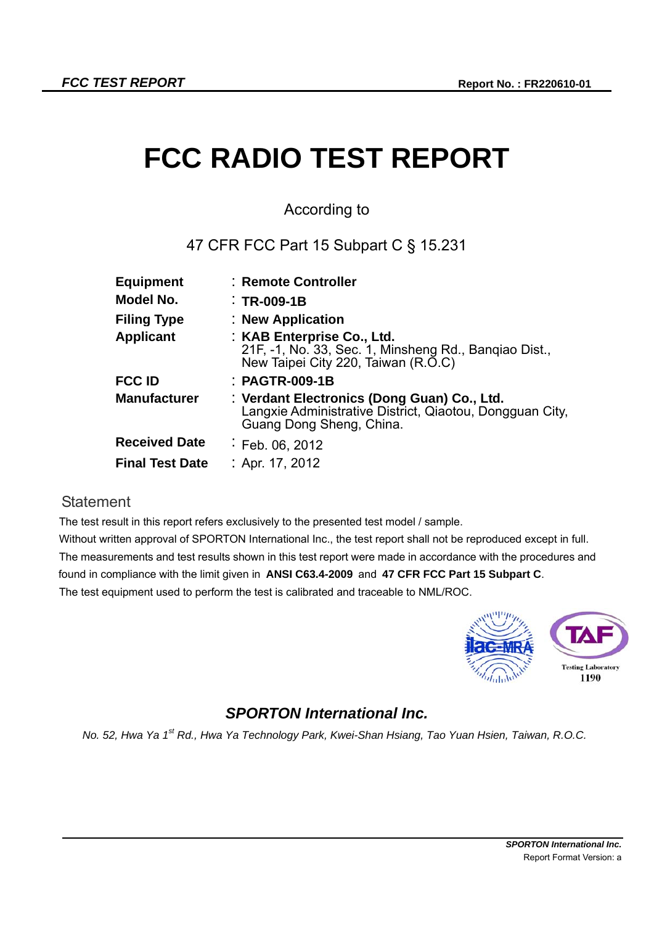# **FCC RADIO TEST REPORT**

## According to

## 47 CFR FCC Part 15 Subpart C § 15.231

| : Remote Controller                                                                                                                 |
|-------------------------------------------------------------------------------------------------------------------------------------|
| $\therefore$ TR-009-1B                                                                                                              |
| : New Application                                                                                                                   |
| : KAB Enterprise Co., Ltd.<br>21F, -1, No. 33, Sec. 1, Minsheng Rd., Banqiao Dist.,<br>New Taipei City 220, Taiwan (R.O.C)          |
| : PAGTR-009-1B                                                                                                                      |
| : Verdant Electronics (Dong Guan) Co., Ltd.<br>Langxie Administrative District, Qiaotou, Dongquan City.<br>Guang Dong Sheng, China. |
| $E$ Feb. 06, 2012                                                                                                                   |
| : Apr. 17, 2012                                                                                                                     |
|                                                                                                                                     |

### **Statement**

The test result in this report refers exclusively to the presented test model / sample.

Without written approval of SPORTON International Inc., the test report shall not be reproduced except in full. The measurements and test results shown in this test report were made in accordance with the procedures and found in compliance with the limit given in **ANSI C63.4-2009** and **47 CFR FCC Part 15 Subpart C**. The test equipment used to perform the test is calibrated and traceable to NML/ROC.



## *SPORTON International Inc.*

*No. 52, Hwa Ya 1st Rd., Hwa Ya Technology Park, Kwei-Shan Hsiang, Tao Yuan Hsien, Taiwan, R.O.C.*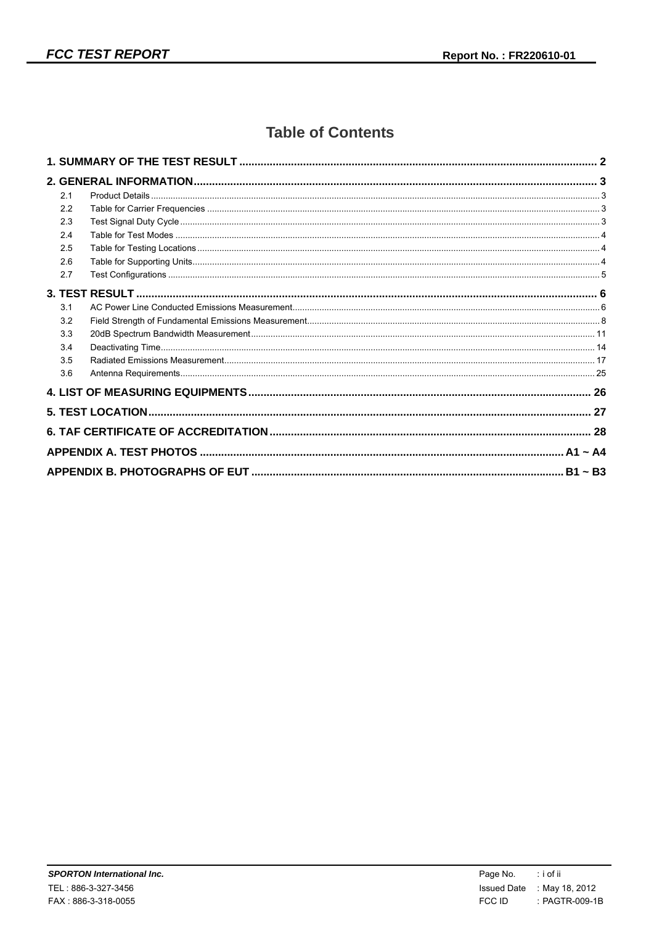## **Table of Contents**

| 2.1 |  |
|-----|--|
| 2.2 |  |
| 2.3 |  |
| 2.4 |  |
| 2.5 |  |
| 2.6 |  |
| 2.7 |  |
|     |  |
| 3.1 |  |
| 3.2 |  |
| 3.3 |  |
| 3.4 |  |
| 3.5 |  |
| 3.6 |  |
|     |  |
|     |  |
|     |  |
|     |  |
|     |  |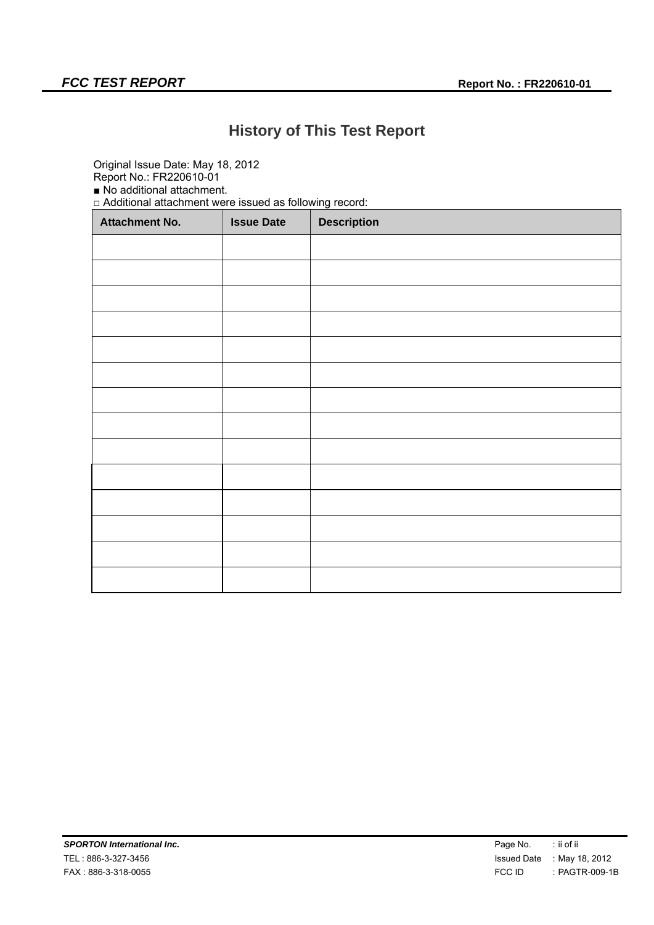## **History of This Test Report**

Original Issue Date: May 18, 2012

Report No.: FR220610-01 ■ No additional attachment.

□ Additional attachment were issued as following record:

| <b>Attachment No.</b> | <b>Issue Date</b> | <b>Description</b> |
|-----------------------|-------------------|--------------------|
|                       |                   |                    |
|                       |                   |                    |
|                       |                   |                    |
|                       |                   |                    |
|                       |                   |                    |
|                       |                   |                    |
|                       |                   |                    |
|                       |                   |                    |
|                       |                   |                    |
|                       |                   |                    |
|                       |                   |                    |
|                       |                   |                    |
|                       |                   |                    |
|                       |                   |                    |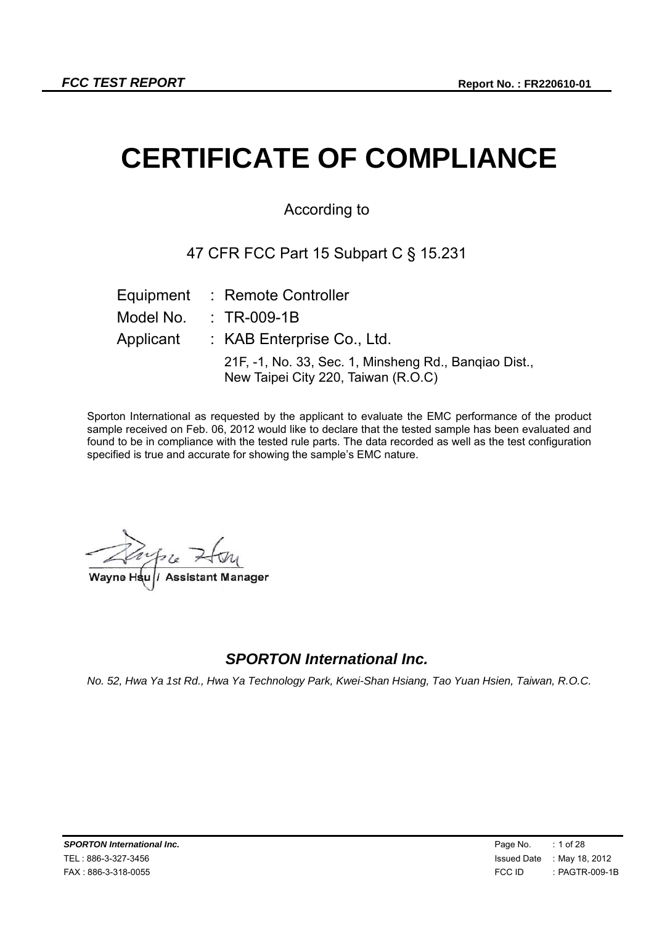# **CERTIFICATE OF COMPLIANCE**

## According to

## 47 CFR FCC Part 15 Subpart C § 15.231

|           | Equipment : Remote Controller                                                                |
|-----------|----------------------------------------------------------------------------------------------|
| Model No. | $\therefore$ TR-009-1B                                                                       |
| Applicant | $:$ KAB Enterprise Co., Ltd.                                                                 |
|           | 21F, -1, No. 33, Sec. 1, Minsheng Rd., Bangiao Dist.,<br>New Taipei City 220, Taiwan (R.O.C) |

Sporton International as requested by the applicant to evaluate the EMC performance of the product sample received on Feb. 06, 2012 would like to declare that the tested sample has been evaluated and found to be in compliance with the tested rule parts. The data recorded as well as the test configuration specified is true and accurate for showing the sample's EMC nature.

 $2.422$ **Wayne Hsu / Assistant Manager Wayne Hsu** // Assistant

## *SPORTON International Inc.*

*No. 52, Hwa Ya 1st Rd., Hwa Ya Technology Park, Kwei-Shan Hsiang, Tao Yuan Hsien, Taiwan, R.O.C.*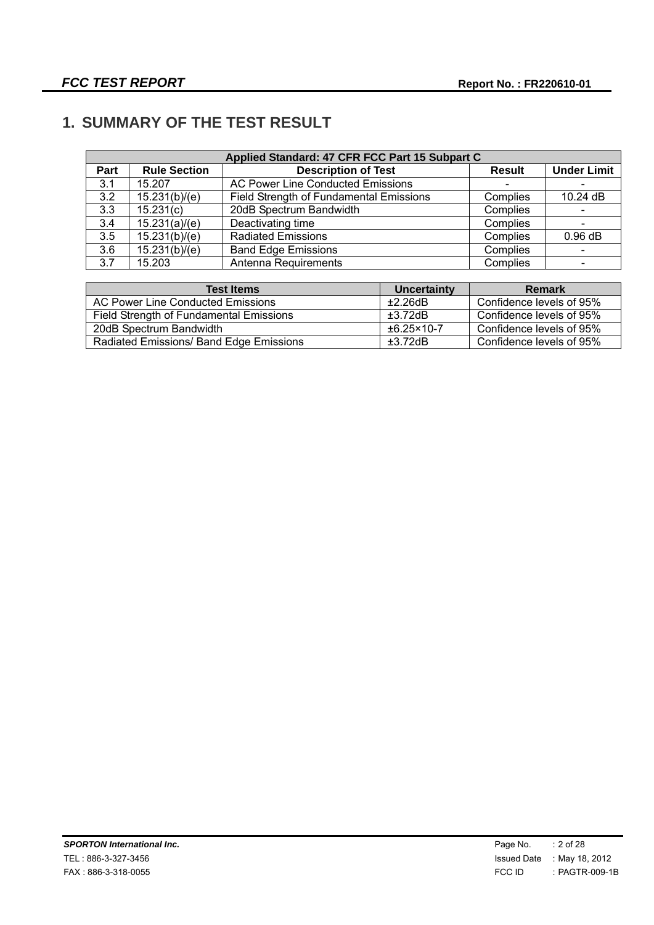## **1. SUMMARY OF THE TEST RESULT**

|      | Applied Standard: 47 CFR FCC Part 15 Subpart C |                                                |               |                          |  |
|------|------------------------------------------------|------------------------------------------------|---------------|--------------------------|--|
| Part | <b>Rule Section</b>                            | <b>Description of Test</b>                     | <b>Result</b> | <b>Under Limit</b>       |  |
| 3.1  | 15.207                                         | <b>AC Power Line Conducted Emissions</b>       |               |                          |  |
| 3.2  | 15.231(b)/(e)                                  | <b>Field Strength of Fundamental Emissions</b> | Complies      | 10.24 dB                 |  |
| 3.3  | 15.231(c)                                      | 20dB Spectrum Bandwidth                        | Complies      |                          |  |
| 3.4  | 15.231(a)/(e)                                  | Deactivating time                              | Complies      |                          |  |
| 3.5  | 15.231(b)/(e)                                  | <b>Radiated Emissions</b>                      | Complies      | 0.96 dB                  |  |
| 3.6  | 15.231(b)/(e)                                  | <b>Band Edge Emissions</b>                     | Complies      |                          |  |
| 3.7  | 15.203                                         | Antenna Requirements                           | Complies      | $\overline{\phantom{0}}$ |  |

| <b>Test Items</b>                       | Uncertainty              | Remark                   |
|-----------------------------------------|--------------------------|--------------------------|
| AC Power Line Conducted Emissions       | ±2.26dB                  | Confidence levels of 95% |
| Field Strength of Fundamental Emissions | $\pm 3.72$ dB            | Confidence levels of 95% |
| 20dB Spectrum Bandwidth                 | $\pm 6.25 \times 10 - 7$ | Confidence levels of 95% |
| Radiated Emissions/ Band Edge Emissions | ±3.72dB                  | Confidence levels of 95% |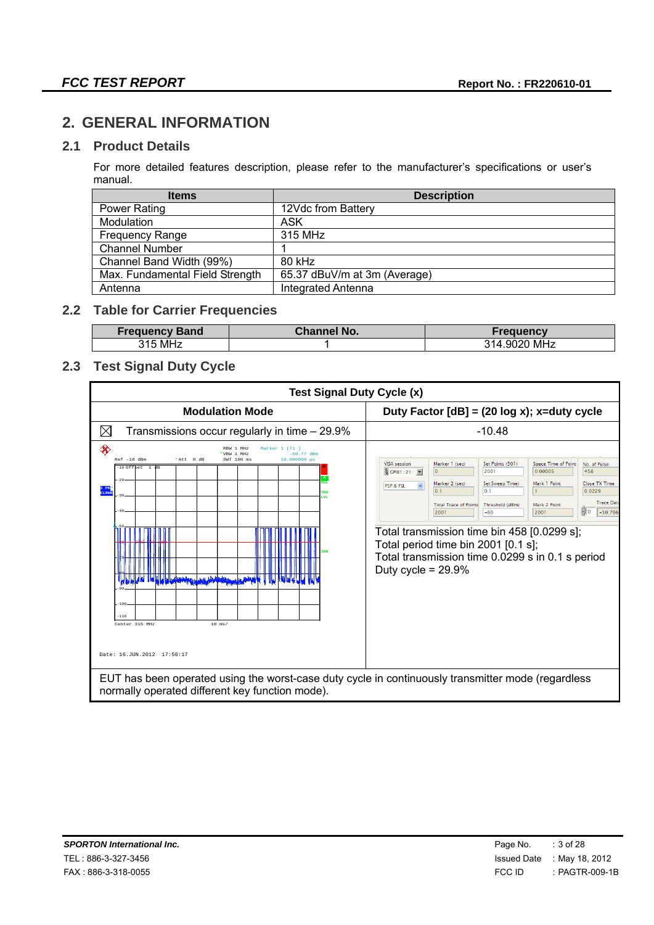## **2. GENERAL INFORMATION**

#### **2.1 Product Details**

For more detailed features description, please refer to the manufacturer's specifications or user's manual.

| <b>Items</b>                    | <b>Description</b>           |
|---------------------------------|------------------------------|
| <b>Power Rating</b>             | 12Vdc from Battery           |
| Modulation                      | ASK                          |
| <b>Frequency Range</b>          | 315 MHz                      |
| <b>Channel Number</b>           |                              |
| Channel Band Width (99%)        | 80 kHz                       |
| Max. Fundamental Field Strength | 65.37 dBuV/m at 3m (Average) |
| Antenna                         | <b>Integrated Antenna</b>    |

## **2.2 Table for Carrier Frequencies**

| <b>Frequency</b><br><b>Band</b> | ' No.<br><b>Channel.</b> | encv              |
|---------------------------------|--------------------------|-------------------|
| 215.<br>, MHz                   |                          | MHz<br>۹1⊿<br>902 |

#### **2.3 Test Signal Duty Cycle**

| <b>Modulation Mode</b><br>Duty Factor $[dB] = (20 log x); x = duty cycle$<br>$\boxtimes$<br>$-10.48$<br>Transmissions occur regularly in time – 29.9%<br>◈<br>RRW 1 MHz<br>Marker 1 [T1<br>'VBW 1 MHz<br>$-50.77$ dBm<br>$Ref -10 dBm$<br>10.000000 us<br>*Att 0 dB<br>SWT 100 ms<br>Marker 1 (sec)<br>Set Points (501)<br>Space Time of Point<br><b>VISA</b> session<br>No. of Pulse<br>-10 Offset 1 dB<br>$\circ$<br>2001<br>0.00005<br>458<br>% GPIB1::21:<br>A<br>$-20$<br><b>SGL</b><br>Marker 2 (sec)<br>Set Sweep Time)<br>Mark 1 Point<br><b>FSP &amp; FSL</b><br>1 PK<br>CLRWF<br>0.1<br>0.0229<br>0 <sup>1</sup><br>rRG<br><b>LVL</b><br><b>Total Trace of Points</b><br>Threshold (dBm)<br>Mark 2 Point<br>$= 0$<br>2001<br>2001<br>$-60$<br>Total transmission time bin 458 [0.0299 s];<br>Total period time bin 2001 [0.1 s];<br>Total transmission time 0.0299 s in 0.1 s period<br>Duty cycle = $29.9\%$<br><b>hi la la la la desertazione della chiesistra della contra della</b><br>$-100$<br>$-110$<br>Center 315 MHz<br>$10$ ms/ | <b>Test Signal Duty Cycle (x)</b> |                                                        |
|-----------------------------------------------------------------------------------------------------------------------------------------------------------------------------------------------------------------------------------------------------------------------------------------------------------------------------------------------------------------------------------------------------------------------------------------------------------------------------------------------------------------------------------------------------------------------------------------------------------------------------------------------------------------------------------------------------------------------------------------------------------------------------------------------------------------------------------------------------------------------------------------------------------------------------------------------------------------------------------------------------------------------------------------------------|-----------------------------------|--------------------------------------------------------|
|                                                                                                                                                                                                                                                                                                                                                                                                                                                                                                                                                                                                                                                                                                                                                                                                                                                                                                                                                                                                                                                     |                                   |                                                        |
|                                                                                                                                                                                                                                                                                                                                                                                                                                                                                                                                                                                                                                                                                                                                                                                                                                                                                                                                                                                                                                                     |                                   |                                                        |
| Date: 16.JUN.2012 17:50:17                                                                                                                                                                                                                                                                                                                                                                                                                                                                                                                                                                                                                                                                                                                                                                                                                                                                                                                                                                                                                          |                                   | <b>Close TX Time</b><br><b>Trace Data</b><br>$-50.766$ |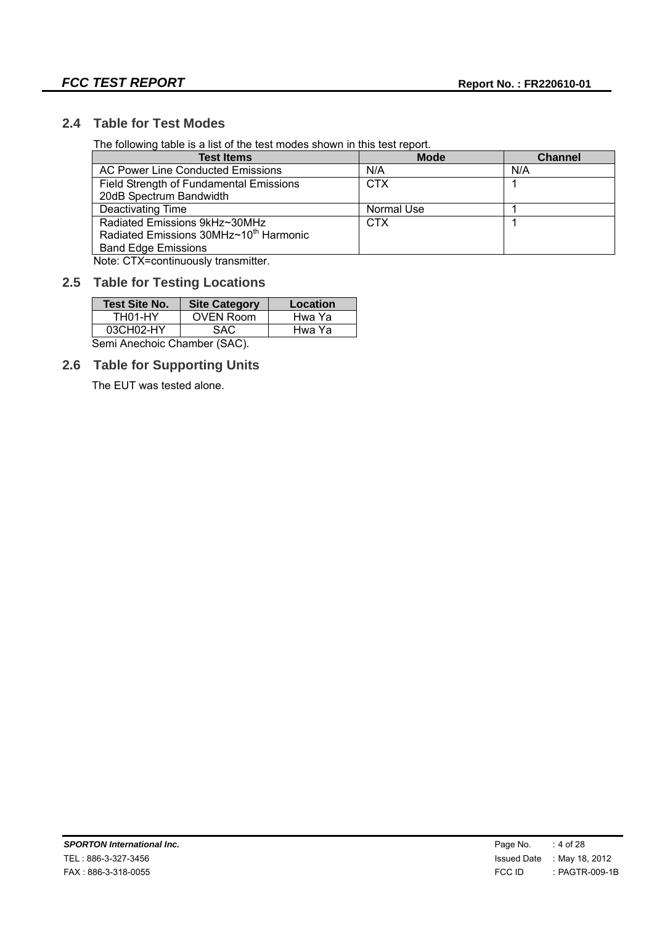#### **2.4 Table for Test Modes**

The following table is a list of the test modes shown in this test report.

| <b>Test Items</b>                                  | <b>Mode</b> | <b>Channel</b> |
|----------------------------------------------------|-------------|----------------|
| AC Power Line Conducted Emissions                  | N/A         | N/A            |
| Field Strength of Fundamental Emissions            | <b>CTX</b>  |                |
| 20dB Spectrum Bandwidth                            |             |                |
| Deactivating Time                                  | Normal Use  |                |
| Radiated Emissions 9kHz~30MHz                      | <b>CTX</b>  |                |
| Radiated Emissions 30MHz~10 <sup>th</sup> Harmonic |             |                |
| <b>Band Edge Emissions</b>                         |             |                |

Note: CTX=continuously transmitter.

#### **2.5 Table for Testing Locations**

| <b>Test Site No.</b>        | <b>Site Category</b> | Location |
|-----------------------------|----------------------|----------|
| TH <sub>01</sub> -HY        | <b>OVEN Room</b>     | Hwa Ya   |
| 03CH02-HY                   | Hwa Ya               |          |
| Sami Angeboje Chamber (SAC) |                      |          |

Semi Anechoic Chamber (SAC).

#### **2.6 Table for Supporting Units**

The EUT was tested alone.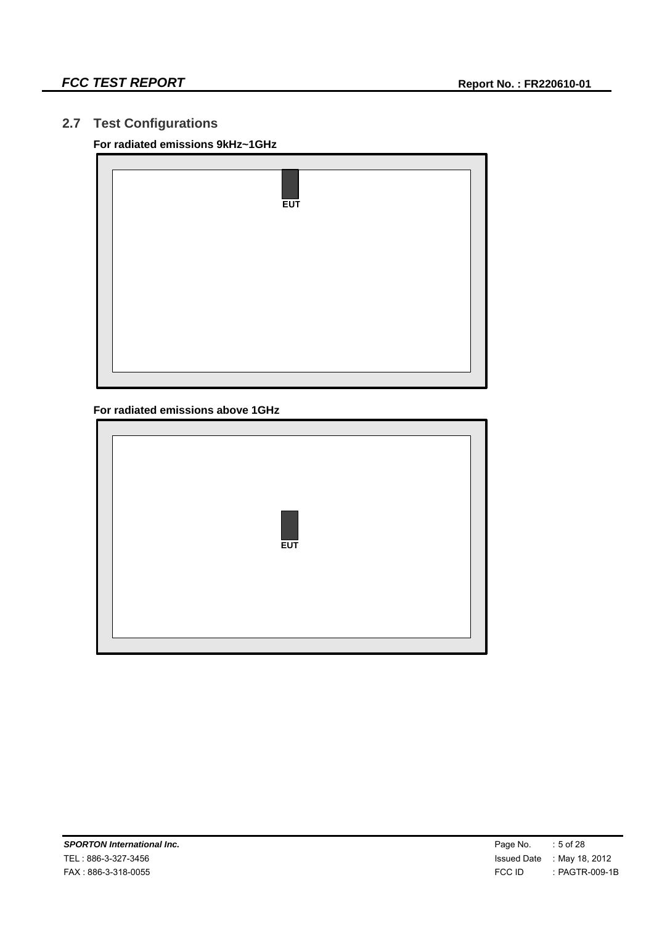## **2.7 Test Configurations**

#### **For radiated emissions 9kHz~1GHz**

|  | <b>EUT</b> |  |
|--|------------|--|
|  |            |  |
|  |            |  |
|  |            |  |

#### **For radiated emissions above 1GHz**

| <b>EUT</b> |  |  |
|------------|--|--|
|------------|--|--|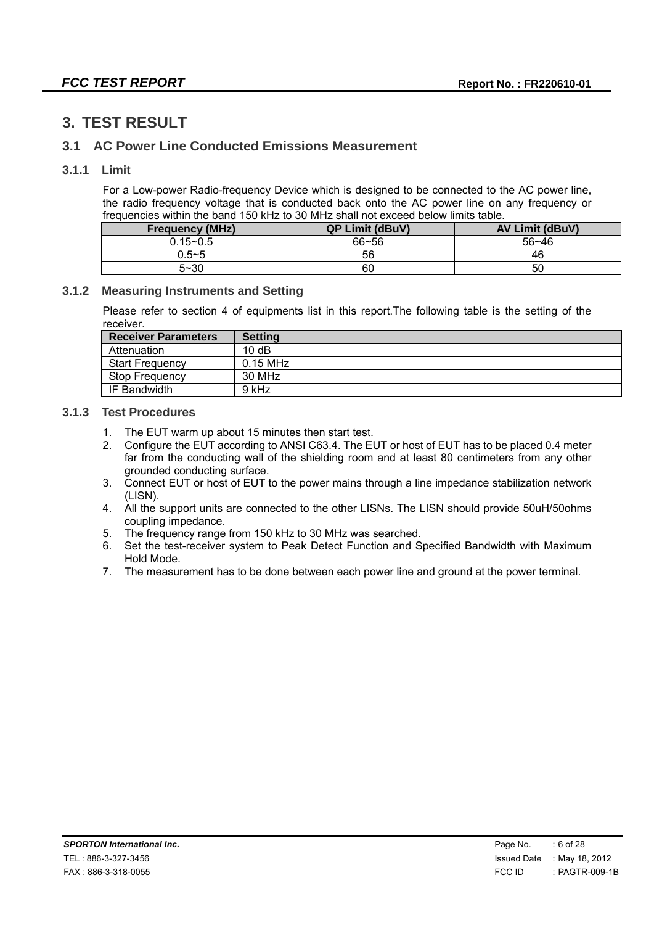## **3. TEST RESULT**

#### **3.1 AC Power Line Conducted Emissions Measurement**

#### **3.1.1 Limit**

For a Low-power Radio-frequency Device which is designed to be connected to the AC power line, the radio frequency voltage that is conducted back onto the AC power line on any frequency or frequencies within the band 150 kHz to 30 MHz shall not exceed below limits table.

| <b>Frequency (MHz)</b> | <b>QP Limit (dBuV)</b> | <b>AV Limit (dBuV)</b> |
|------------------------|------------------------|------------------------|
| $0.15 - 0.5$           | $66 - 56$              | $56 - 46$              |
| 0.5~5                  | 56                     | 46                     |
| $5 - 30$               | 60                     | 50                     |

#### **3.1.2 Measuring Instruments and Setting**

Please refer to section 4 of equipments list in this report.The following table is the setting of the receiver.

| <b>Receiver Parameters</b> | <b>Setting</b> |
|----------------------------|----------------|
| Attenuation                | 10dB           |
| <b>Start Frequency</b>     | $0.15$ MHz     |
| Stop Frequency             | 30 MHz         |
| IF Bandwidth               | 9 kHz          |

#### **3.1.3 Test Procedures**

- 1. The EUT warm up about 15 minutes then start test.
- 2. Configure the EUT according to ANSI C63.4. The EUT or host of EUT has to be placed 0.4 meter far from the conducting wall of the shielding room and at least 80 centimeters from any other grounded conducting surface.
- 3. Connect EUT or host of EUT to the power mains through a line impedance stabilization network (LISN).
- 4. All the support units are connected to the other LISNs. The LISN should provide 50uH/50ohms coupling impedance.
- 5. The frequency range from 150 kHz to 30 MHz was searched.
- 6. Set the test-receiver system to Peak Detect Function and Specified Bandwidth with Maximum Hold Mode.
- 7. The measurement has to be done between each power line and ground at the power terminal.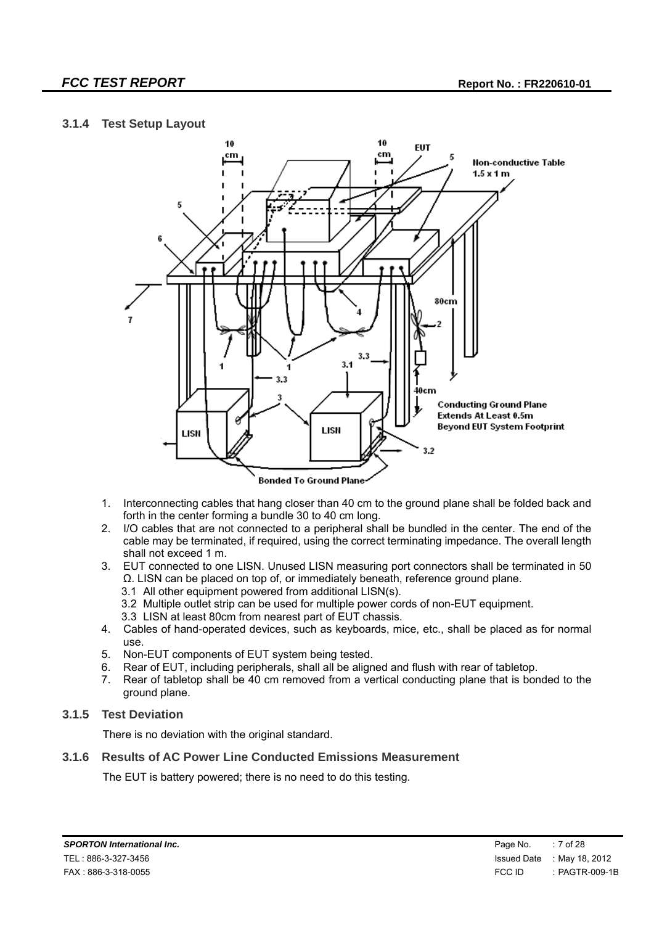#### **3.1.4 Test Setup Layout**



- 1. Interconnecting cables that hang closer than 40 cm to the ground plane shall be folded back and forth in the center forming a bundle 30 to 40 cm long.
- 2. I/O cables that are not connected to a peripheral shall be bundled in the center. The end of the cable may be terminated, if required, using the correct terminating impedance. The overall length shall not exceed 1 m.
- 3. EUT connected to one LISN. Unused LISN measuring port connectors shall be terminated in 50 Ω. LISN can be placed on top of, or immediately beneath, reference ground plane.
	- 3.1 All other equipment powered from additional LISN(s).
	- 3.2 Multiple outlet strip can be used for multiple power cords of non-EUT equipment.
	- 3.3 LISN at least 80cm from nearest part of EUT chassis.
- 4. Cables of hand-operated devices, such as keyboards, mice, etc., shall be placed as for normal use.
- 5. Non-EUT components of EUT system being tested.
- 6. Rear of EUT, including peripherals, shall all be aligned and flush with rear of tabletop.
- 7. Rear of tabletop shall be 40 cm removed from a vertical conducting plane that is bonded to the ground plane.

#### **3.1.5 Test Deviation**

There is no deviation with the original standard.

#### **3.1.6 Results of AC Power Line Conducted Emissions Measurement**

The EUT is battery powered; there is no need to do this testing.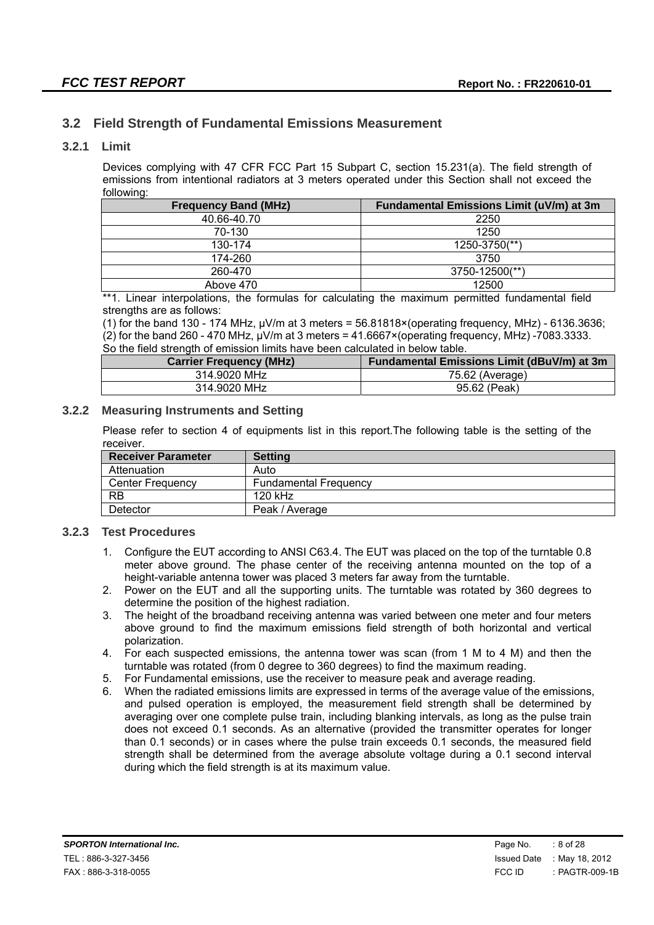### **3.2 Field Strength of Fundamental Emissions Measurement**

#### **3.2.1 Limit**

Devices complying with 47 CFR FCC Part 15 Subpart C, section 15.231(a). The field strength of emissions from intentional radiators at 3 meters operated under this Section shall not exceed the following:

| <b>Frequency Band (MHz)</b> | Fundamental Emissions Limit (uV/m) at 3m |
|-----------------------------|------------------------------------------|
| 40.66-40.70                 | 2250                                     |
| 70-130                      | 1250                                     |
| 130-174                     | 1250-3750(**)                            |
| 174-260                     | 3750                                     |
| 260-470                     | 3750-12500(**)                           |
| Above 470                   | 12500                                    |

\*\*1. Linear interpolations, the formulas for calculating the maximum permitted fundamental field strengths are as follows:

(1) for the band 130 - 174 MHz,  $\mu$ V/m at 3 meters = 56.81818×(operating frequency, MHz) - 6136.3636; (2) for the band 260 - 470 MHz,  $\mu$ V/m at 3 meters = 41.6667×(operating frequency, MHz) -7083.3333. So the field strength of emission limits have been calculated in below table.

| <b>Carrier Frequency (MHz)</b> | Fundamental Emissions Limit (dBuV/m) at 3m |
|--------------------------------|--------------------------------------------|
| 314.9020 MHz                   | 75.62 (Average)                            |
| 314.9020 MHz                   | 95.62 (Peak)                               |

#### **3.2.2 Measuring Instruments and Setting**

Please refer to section 4 of equipments list in this report.The following table is the setting of the receiver.

| <b>Receiver Parameter</b> | <b>Setting</b>               |
|---------------------------|------------------------------|
| Attenuation               | Auto                         |
| Center Frequency          | <b>Fundamental Frequency</b> |
| <b>RB</b>                 | 120 kHz                      |
| Detector                  | Peak / Average               |

#### **3.2.3 Test Procedures**

- 1. Configure the EUT according to ANSI C63.4. The EUT was placed on the top of the turntable 0.8 meter above ground. The phase center of the receiving antenna mounted on the top of a height-variable antenna tower was placed 3 meters far away from the turntable.
- 2. Power on the EUT and all the supporting units. The turntable was rotated by 360 degrees to determine the position of the highest radiation.
- 3. The height of the broadband receiving antenna was varied between one meter and four meters above ground to find the maximum emissions field strength of both horizontal and vertical polarization.
- 4. For each suspected emissions, the antenna tower was scan (from 1 M to 4 M) and then the turntable was rotated (from 0 degree to 360 degrees) to find the maximum reading.
- 5. For Fundamental emissions, use the receiver to measure peak and average reading.
- 6. When the radiated emissions limits are expressed in terms of the average value of the emissions, and pulsed operation is employed, the measurement field strength shall be determined by averaging over one complete pulse train, including blanking intervals, as long as the pulse train does not exceed 0.1 seconds. As an alternative (provided the transmitter operates for longer than 0.1 seconds) or in cases where the pulse train exceeds 0.1 seconds, the measured field strength shall be determined from the average absolute voltage during a 0.1 second interval during which the field strength is at its maximum value.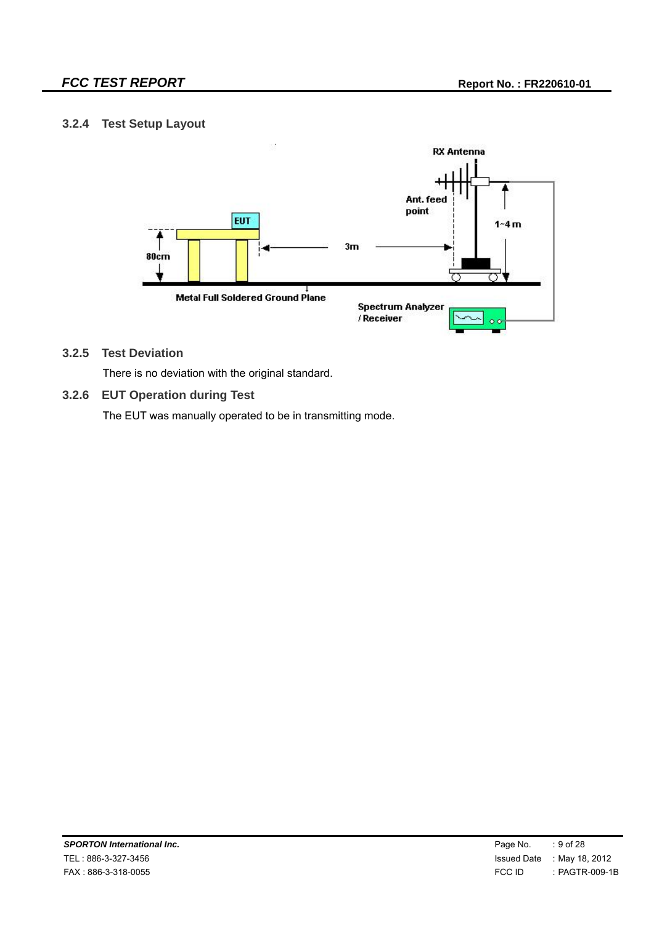#### **3.2.4 Test Setup Layout**



#### **3.2.5 Test Deviation**

There is no deviation with the original standard.

#### **3.2.6 EUT Operation during Test**

The EUT was manually operated to be in transmitting mode.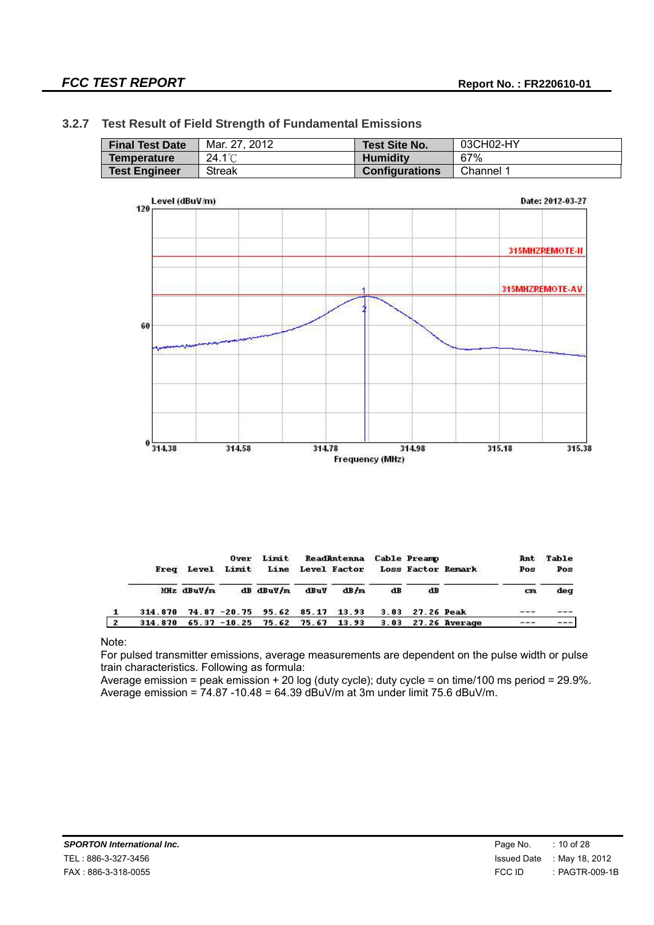## **3.2.7 Test Result of Field Strength of Fundamental Emissions Final Test Date** Mar. 27, 2012 **Test Site No.** 03CH02-HY **Temperature 24.1℃ Humidity 67%**<br> **Test Engineer** Streak **Configurations** Channel 1



|                |         | Freq Level | Over<br>Limit | Limit                       |       | ReadAntenna<br>Line Level Factor |      | <b>Cable Preamp</b> | <b>Loss Factor Remark</b> | Ant<br>Pos<br>n an an a | Table<br>Pos |
|----------------|---------|------------|---------------|-----------------------------|-------|----------------------------------|------|---------------------|---------------------------|-------------------------|--------------|
|                |         | Miz dBuV/m |               | $dB$ $d$ BuV/m              | dBuV  | dB/m                             | dB   | dB                  |                           | сm                      | deg          |
|                | 314.870 |            |               | $74.87 - 20.75$ 95.62 85.17 |       | 13.93                            | 3.03 | <b>27.26 Peak</b>   |                           | ---                     |              |
| $\overline{2}$ | 314.870 |            |               | $65.37 - 10.25$ 75.62       | 75.67 | 13.93                            | 3.03 |                     | 27.26 Average             | The State               |              |

#### Note:

For pulsed transmitter emissions, average measurements are dependent on the pulse width or pulse train characteristics. Following as formula:

Average emission = peak emission + 20 log (duty cycle); duty cycle = on time/100 ms period = 29.9%. Average emission =  $74.87 - 10.48 = 64.39$  dBuV/m at 3m under limit 75.6 dBuV/m.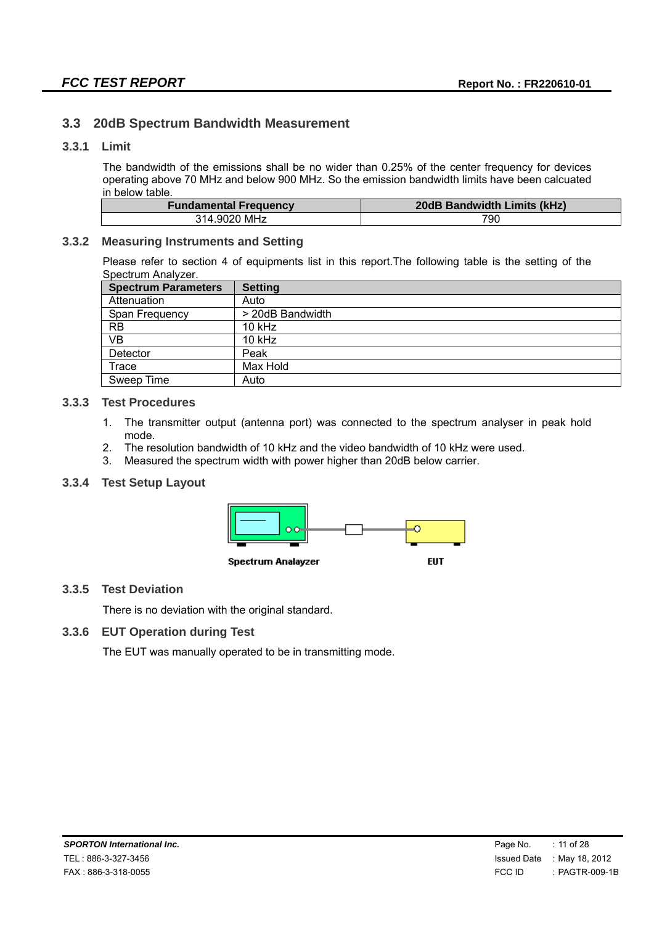#### **3.3 20dB Spectrum Bandwidth Measurement**

#### **3.3.1 Limit**

The bandwidth of the emissions shall be no wider than 0.25% of the center frequency for devices operating above 70 MHz and below 900 MHz. So the emission bandwidth limits have been calcuated in below table.

| <b>Fundamental Frequency</b> | 20dB Bandwidth Limits (kHz) |
|------------------------------|-----------------------------|
| 314.9020 MHz                 | 790                         |

#### **3.3.2 Measuring Instruments and Setting**

Please refer to section 4 of equipments list in this report.The following table is the setting of the Spectrum Analyzer.

| <b>Spectrum Parameters</b> | <b>Setting</b>   |
|----------------------------|------------------|
| Attenuation                | Auto             |
| Span Frequency             | > 20dB Bandwidth |
| <b>RB</b>                  | 10 kHz           |
| VB                         | $10$ kHz         |
| Detector                   | Peak             |
| Trace                      | Max Hold         |
| Sweep Time                 | Auto             |

#### **3.3.3 Test Procedures**

- 1. The transmitter output (antenna port) was connected to the spectrum analyser in peak hold mode.
- 2. The resolution bandwidth of 10 kHz and the video bandwidth of 10 kHz were used.
- 3. Measured the spectrum width with power higher than 20dB below carrier.

#### **3.3.4 Test Setup Layout**



#### **3.3.5 Test Deviation**

There is no deviation with the original standard.

#### **3.3.6 EUT Operation during Test**

The EUT was manually operated to be in transmitting mode.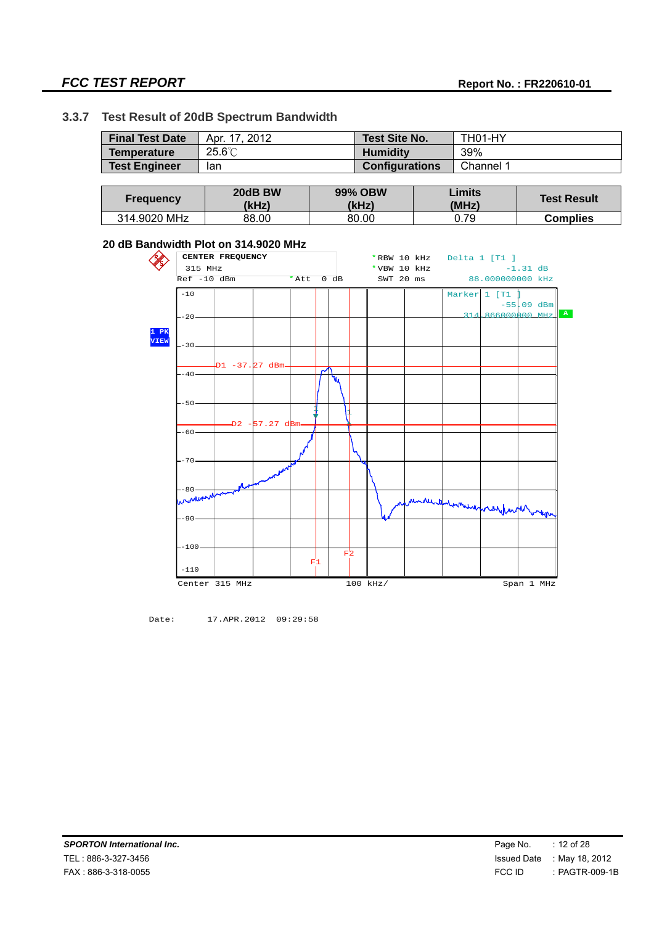## **FCC TEST REPORT Report No. : FR220610-01**

#### **3.3.7 Test Result of 20dB Spectrum Bandwidth**

| <b>Final Test Date</b> | Apr. 17, 2012  | Test Site No.         | TH01-HY   |
|------------------------|----------------|-----------------------|-----------|
| Temperature            | $25.6^{\circ}$ | <b>Humidity</b>       | 39%       |
| <b>Test Engineer</b>   | lan            | <b>Configurations</b> | Channel 1 |

| <b>Frequency</b> | 20dB BW<br>(kHz) | <b>99% OBW</b><br>(kHz) | Limits<br>(MHz) | <b>Test Result</b> |
|------------------|------------------|-------------------------|-----------------|--------------------|
| 314.9020 MHz     | 88.00            | 80.00                   | 0.79            | <b>Complies</b>    |

#### **20 dB Bandwidth Plot on 314.9020 MHz**



Date: 17.APR.2012 09:29:58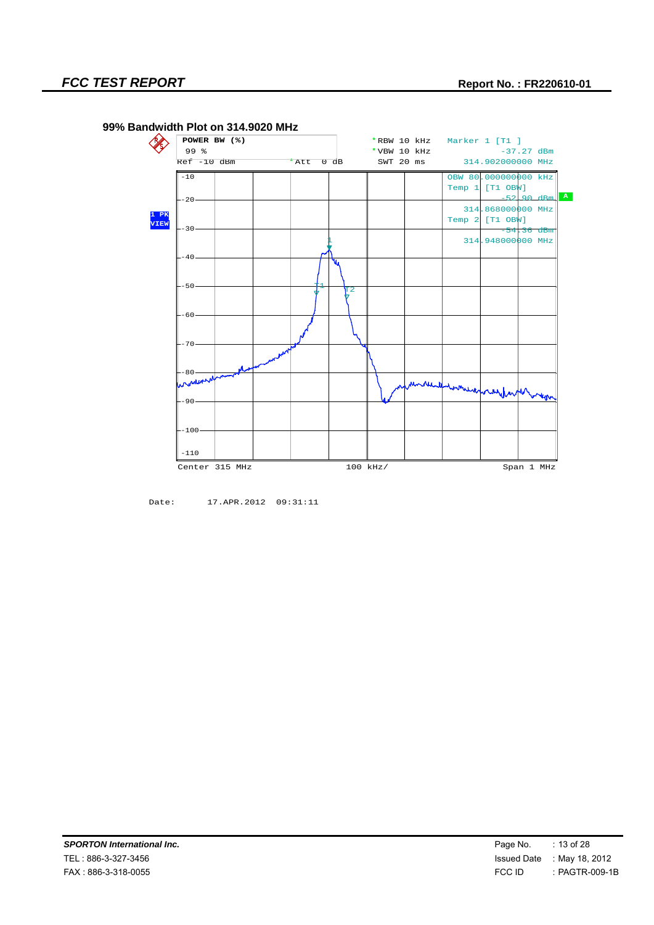

#### **99% Bandwidth Plot on 314.9020 MHz**

Date: 17.APR.2012 09:31:11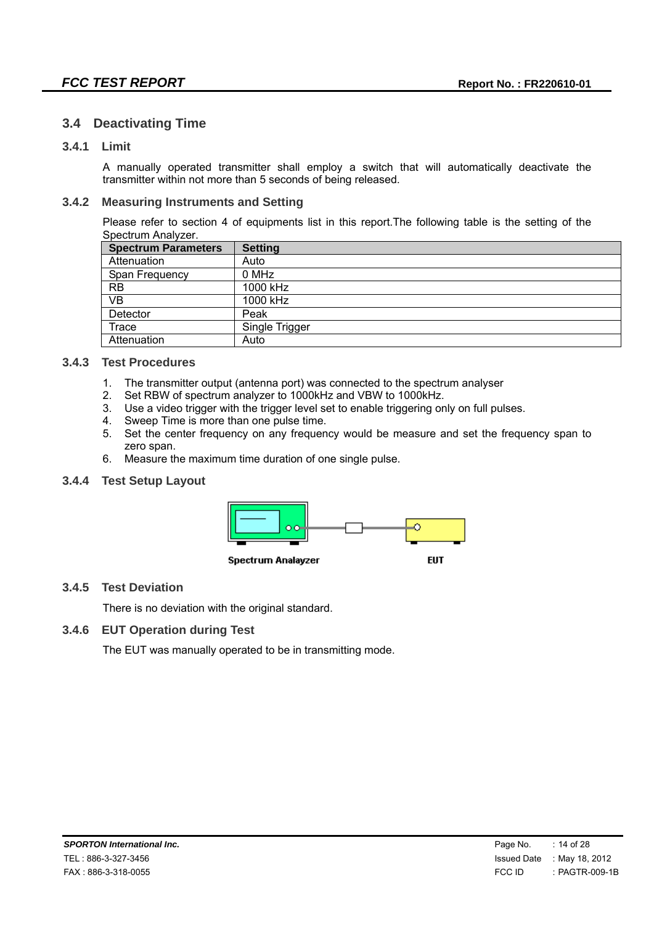#### **3.4 Deactivating Time**

#### **3.4.1 Limit**

A manually operated transmitter shall employ a switch that will automatically deactivate the transmitter within not more than 5 seconds of being released.

#### **3.4.2 Measuring Instruments and Setting**

Please refer to section 4 of equipments list in this report.The following table is the setting of the Spectrum Analyzer.

| <b>Spectrum Parameters</b> | <b>Setting</b> |
|----------------------------|----------------|
| Attenuation                | Auto           |
| Span Frequency             | 0 MHz          |
| <b>RB</b>                  | 1000 kHz       |
| VB                         | 1000 kHz       |
| Detector                   | Peak           |
| Trace                      | Single Trigger |
| Attenuation                | Auto           |

#### **3.4.3 Test Procedures**

- 1. The transmitter output (antenna port) was connected to the spectrum analyser
- 2. Set RBW of spectrum analyzer to 1000kHz and VBW to 1000kHz.
- 3. Use a video trigger with the trigger level set to enable triggering only on full pulses.
- 4. Sweep Time is more than one pulse time.
- 5. Set the center frequency on any frequency would be measure and set the frequency span to zero span.
- 6. Measure the maximum time duration of one single pulse.

#### **3.4.4 Test Setup Layout**



#### **3.4.5 Test Deviation**

There is no deviation with the original standard.

#### **3.4.6 EUT Operation during Test**

The EUT was manually operated to be in transmitting mode.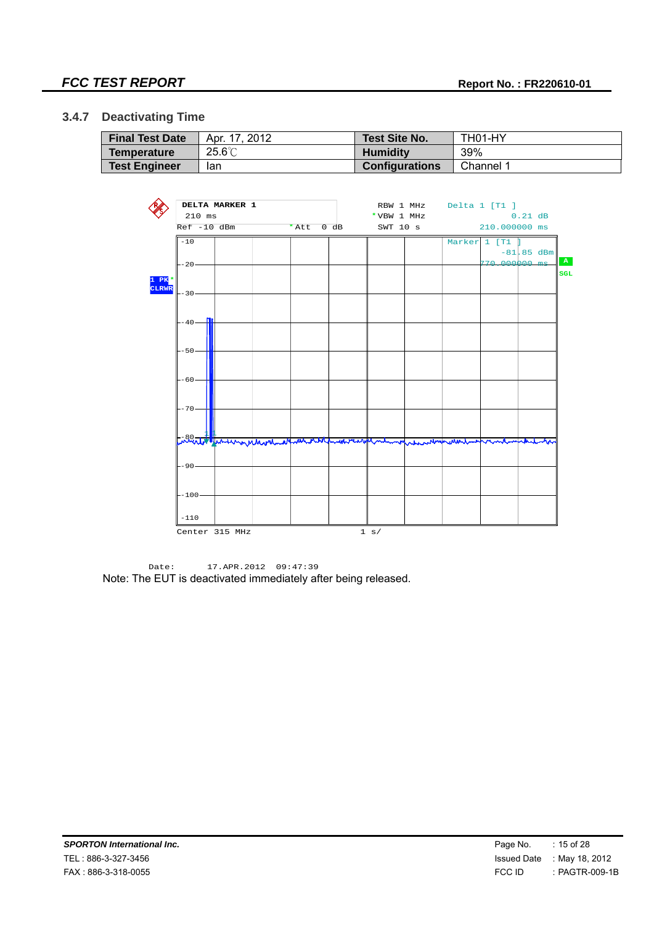#### **3.4.7 Deactivating Time**

| <b>Final Test Date</b> | Apr. 17, 2012    | Test Site No.         | TH01-HY   |
|------------------------|------------------|-----------------------|-----------|
| <b>Temperature</b>     | $25.6^{\circ}$ C | <b>Humidity</b>       | 39%       |
| <b>Test Engineer</b>   | lan              | <b>Configurations</b> | Channel 1 |



Date: 17.APR.2012 09:47:39 Note: The EUT is deactivated immediately after being released.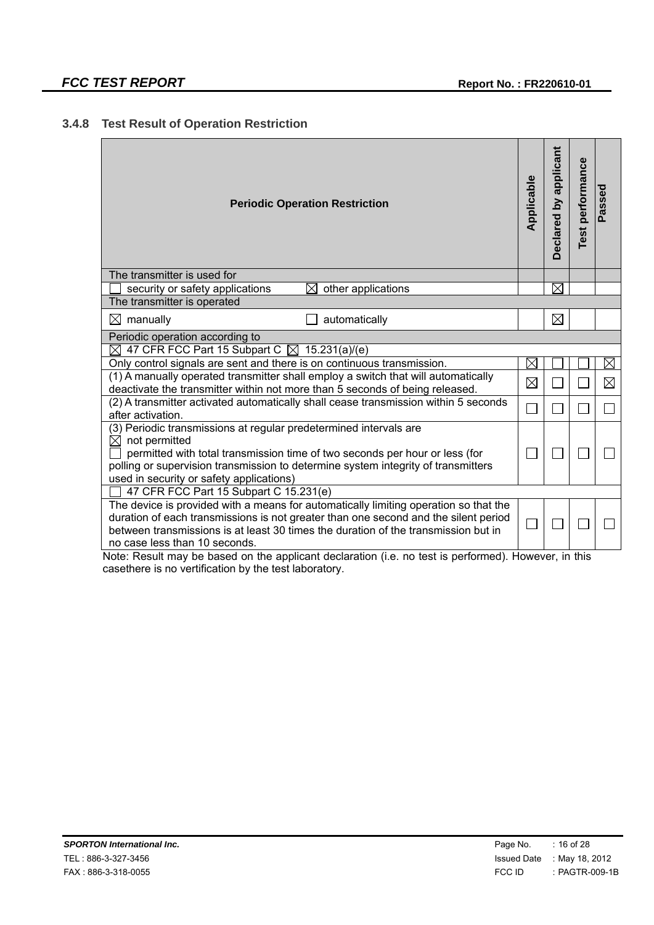### **3.4.8 Test Result of Operation Restriction**

| <b>Periodic Operation Restriction</b>                                                                                                                                                                                                                                                                                                                                                                      | Applicable  | applicant<br><b>Declared by</b> | performance<br><b>Test</b> | Passed      |
|------------------------------------------------------------------------------------------------------------------------------------------------------------------------------------------------------------------------------------------------------------------------------------------------------------------------------------------------------------------------------------------------------------|-------------|---------------------------------|----------------------------|-------------|
| The transmitter is used for                                                                                                                                                                                                                                                                                                                                                                                |             |                                 |                            |             |
| security or safety applications<br>⊠<br>other applications                                                                                                                                                                                                                                                                                                                                                 |             | $\boxtimes$                     |                            |             |
| The transmitter is operated                                                                                                                                                                                                                                                                                                                                                                                |             |                                 |                            |             |
| automatically<br>$\boxtimes$ manually                                                                                                                                                                                                                                                                                                                                                                      |             | ⊠                               |                            |             |
| Periodic operation according to                                                                                                                                                                                                                                                                                                                                                                            |             |                                 |                            |             |
| 47 CFR FCC Part 15 Subpart C $\boxtimes$ 15.231(a)/(e)<br>$\bowtie$                                                                                                                                                                                                                                                                                                                                        |             |                                 |                            |             |
| Only control signals are sent and there is on continuous transmission.                                                                                                                                                                                                                                                                                                                                     | $\boxtimes$ |                                 |                            | $\boxtimes$ |
| (1) A manually operated transmitter shall employ a switch that will automatically<br>deactivate the transmitter within not more than 5 seconds of being released.                                                                                                                                                                                                                                          | $\boxtimes$ |                                 |                            | $\boxtimes$ |
| (2) A transmitter activated automatically shall cease transmission within 5 seconds<br>after activation.                                                                                                                                                                                                                                                                                                   |             |                                 |                            |             |
| (3) Periodic transmissions at regular predetermined intervals are<br>$\boxtimes$ not permitted<br>permitted with total transmission time of two seconds per hour or less (for<br>polling or supervision transmission to determine system integrity of transmitters<br>used in security or safety applications)                                                                                             |             |                                 |                            |             |
| 47 CFR FCC Part 15 Subpart C 15.231(e)                                                                                                                                                                                                                                                                                                                                                                     |             |                                 |                            |             |
| The device is provided with a means for automatically limiting operation so that the<br>duration of each transmissions is not greater than one second and the silent period<br>between transmissions is at least 30 times the duration of the transmission but in<br>no case less than 10 seconds.<br>Note: Result may be based on the applicant declaration (i.e. no test is performed). However, in this |             |                                 |                            |             |

Note: Result may be based on the applicant declaration (i.e. no test is performed). However, in this casethere is no vertification by the test laboratory.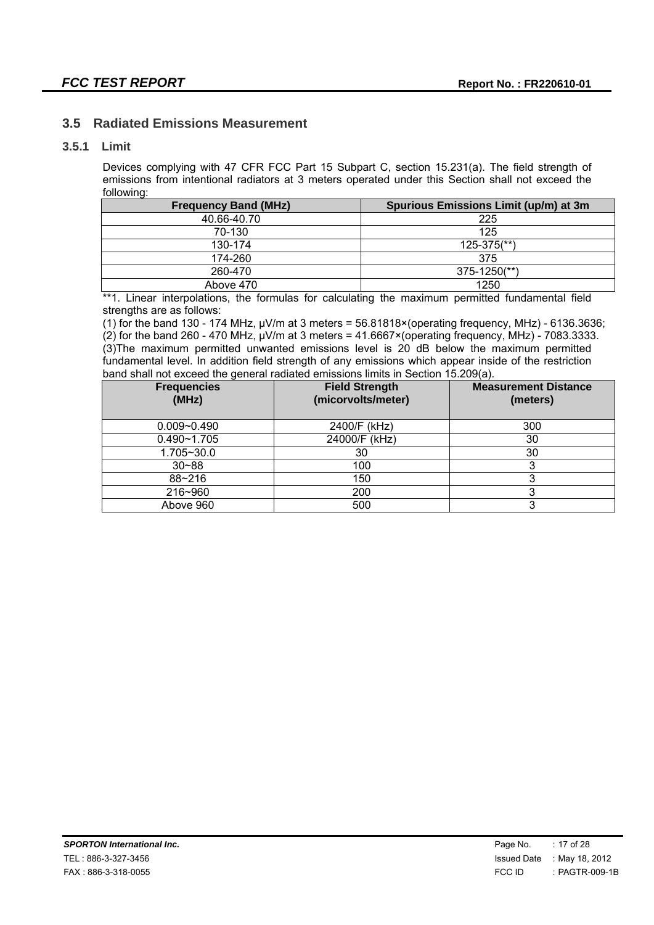#### **3.5 Radiated Emissions Measurement**

#### **3.5.1 Limit**

Devices complying with 47 CFR FCC Part 15 Subpart C, section 15.231(a). The field strength of emissions from intentional radiators at 3 meters operated under this Section shall not exceed the following:

| <b>Frequency Band (MHz)</b> | Spurious Emissions Limit (up/m) at 3m |
|-----------------------------|---------------------------------------|
| 40.66-40.70                 | 225                                   |
| 70-130                      | 125                                   |
| 130-174                     | $125 - 375$ <sup>**</sup> )           |
| 174-260                     | 375                                   |
| 260-470                     | $375 - 1250$ <sup>**</sup> )          |
| Above 470                   | 1250                                  |

\*\*1. Linear interpolations, the formulas for calculating the maximum permitted fundamental field strengths are as follows:

(1) for the band 130 - 174 MHz, μV/m at 3 meters = 56.81818×(operating frequency, MHz) - 6136.3636; (2) for the band 260 - 470 MHz,  $\mu$ V/m at 3 meters = 41.6667×(operating frequency, MHz) - 7083.3333. (3)The maximum permitted unwanted emissions level is 20 dB below the maximum permitted fundamental level. In addition field strength of any emissions which appear inside of the restriction band shall not exceed the general radiated emissions limits in Section 15.209(a).

| <b>Frequencies</b><br>(MHz) | <b>Field Strength</b><br>(micorvolts/meter) | <b>Measurement Distance</b><br>(meters) |
|-----------------------------|---------------------------------------------|-----------------------------------------|
| $0.009 - 0.490$             | 2400/F (kHz)                                | 300                                     |
| $0.490 - 1.705$             | 24000/F (kHz)                               | 30                                      |
| 1.705~30.0                  | 30                                          | 30                                      |
| $30 - 88$                   | 100                                         |                                         |
| 88~216                      | 150                                         |                                         |
| 216~960                     | 200                                         |                                         |
| Above 960                   | 500                                         | 3                                       |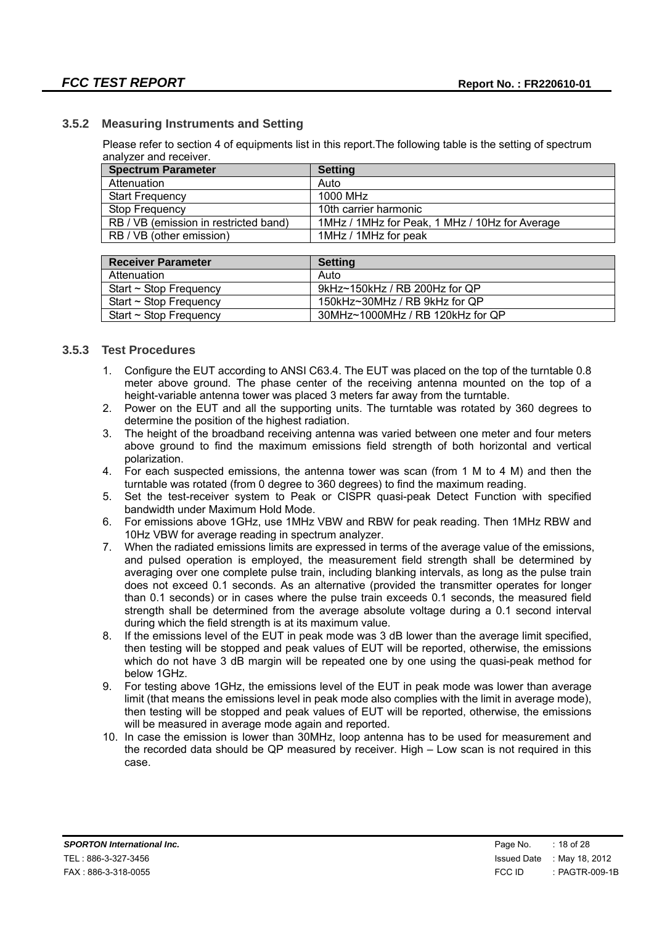#### **3.5.2 Measuring Instruments and Setting**

Please refer to section 4 of equipments list in this report.The following table is the setting of spectrum analyzer and receiver.

| <b>Spectrum Parameter</b>             | <b>Setting</b>                                 |
|---------------------------------------|------------------------------------------------|
| Attenuation                           | Auto                                           |
| <b>Start Frequency</b>                | 1000 MHz                                       |
| Stop Frequency                        | 10th carrier harmonic                          |
| RB / VB (emission in restricted band) | 1MHz / 1MHz for Peak, 1 MHz / 10Hz for Average |
| RB / VB (other emission)              | 1MHz / 1MHz for peak                           |

| <b>Receiver Parameter</b>   | Setting                          |
|-----------------------------|----------------------------------|
| Attenuation                 | Auto                             |
| Start $\sim$ Stop Frequency | 9kHz~150kHz / RB 200Hz for QP    |
| Start $\sim$ Stop Frequency | 150kHz~30MHz / RB 9kHz for QP    |
| Start $\sim$ Stop Frequency | 30MHz~1000MHz / RB 120kHz for QP |

#### **3.5.3 Test Procedures**

- 1. Configure the EUT according to ANSI C63.4. The EUT was placed on the top of the turntable 0.8 meter above ground. The phase center of the receiving antenna mounted on the top of a height-variable antenna tower was placed 3 meters far away from the turntable.
- 2. Power on the EUT and all the supporting units. The turntable was rotated by 360 degrees to determine the position of the highest radiation.
- 3. The height of the broadband receiving antenna was varied between one meter and four meters above ground to find the maximum emissions field strength of both horizontal and vertical polarization.
- 4. For each suspected emissions, the antenna tower was scan (from 1 M to 4 M) and then the turntable was rotated (from 0 degree to 360 degrees) to find the maximum reading.
- 5. Set the test-receiver system to Peak or CISPR quasi-peak Detect Function with specified bandwidth under Maximum Hold Mode.
- 6. For emissions above 1GHz, use 1MHz VBW and RBW for peak reading. Then 1MHz RBW and 10Hz VBW for average reading in spectrum analyzer.
- 7. When the radiated emissions limits are expressed in terms of the average value of the emissions, and pulsed operation is employed, the measurement field strength shall be determined by averaging over one complete pulse train, including blanking intervals, as long as the pulse train does not exceed 0.1 seconds. As an alternative (provided the transmitter operates for longer than 0.1 seconds) or in cases where the pulse train exceeds 0.1 seconds, the measured field strength shall be determined from the average absolute voltage during a 0.1 second interval during which the field strength is at its maximum value.
- 8. If the emissions level of the EUT in peak mode was 3 dB lower than the average limit specified. then testing will be stopped and peak values of EUT will be reported, otherwise, the emissions which do not have 3 dB margin will be repeated one by one using the quasi-peak method for below 1GHz.
- 9. For testing above 1GHz, the emissions level of the EUT in peak mode was lower than average limit (that means the emissions level in peak mode also complies with the limit in average mode), then testing will be stopped and peak values of EUT will be reported, otherwise, the emissions will be measured in average mode again and reported.
- 10. In case the emission is lower than 30MHz, loop antenna has to be used for measurement and the recorded data should be QP measured by receiver. High – Low scan is not required in this case.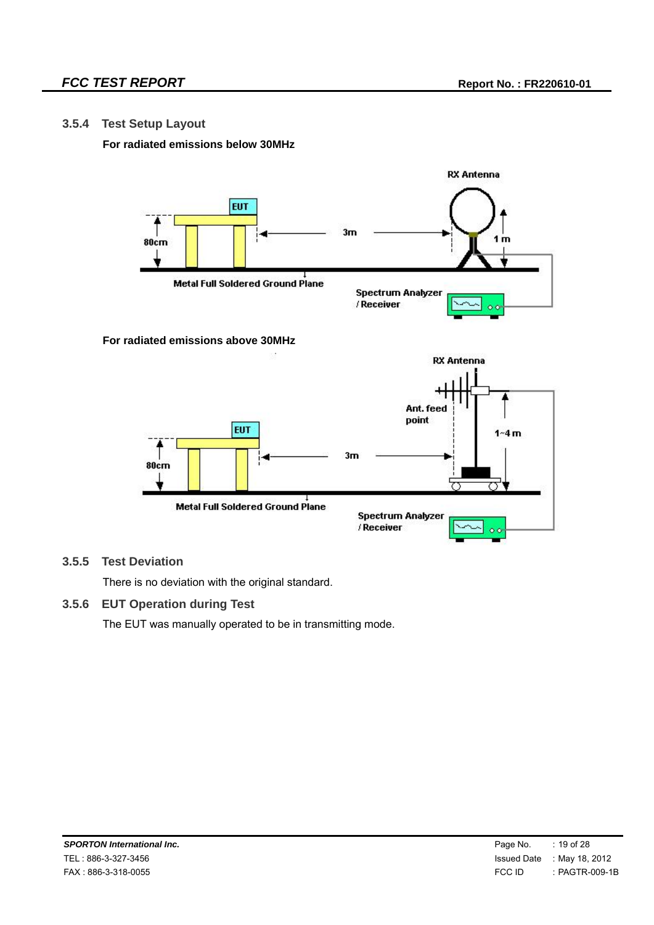#### **3.5.4 Test Setup Layout**

#### **For radiated emissions below 30MHz**



#### **3.5.5 Test Deviation**

There is no deviation with the original standard.

#### **3.5.6 EUT Operation during Test**

The EUT was manually operated to be in transmitting mode.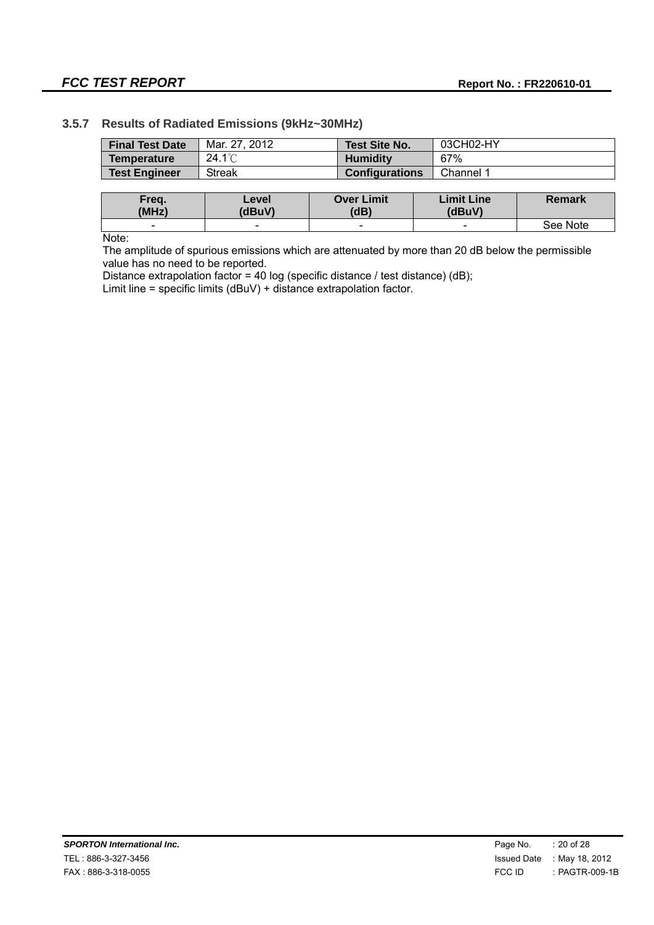## **FCC TEST REPORT Report No. : FR220610-01**

#### **3.5.7 Results of Radiated Emissions (9kHz~30MHz)**

| <b>Final Test Date</b> | Mar. 27, 2012    |                   | <b>Test Site No.</b>  | 03CH02-HY         |               |
|------------------------|------------------|-------------------|-----------------------|-------------------|---------------|
| <b>Temperature</b>     | $24.1^{\circ}$ C | <b>Humidity</b>   |                       | 67%               |               |
| <b>Test Engineer</b>   | <b>Streak</b>    |                   | <b>Configurations</b> | Channel 1         |               |
|                        |                  |                   |                       |                   |               |
| Freq.                  | Level            | <b>Over Limit</b> |                       | <b>Limit Line</b> | <b>Remark</b> |
|                        |                  |                   |                       |                   |               |
| (MHz)                  | (dBuV)           | (dB)              |                       | (dBuV)            |               |

Note:

The amplitude of spurious emissions which are attenuated by more than 20 dB below the permissible value has no need to be reported.

Distance extrapolation factor = 40 log (specific distance / test distance) (dB);

Limit line = specific limits (dBuV) + distance extrapolation factor.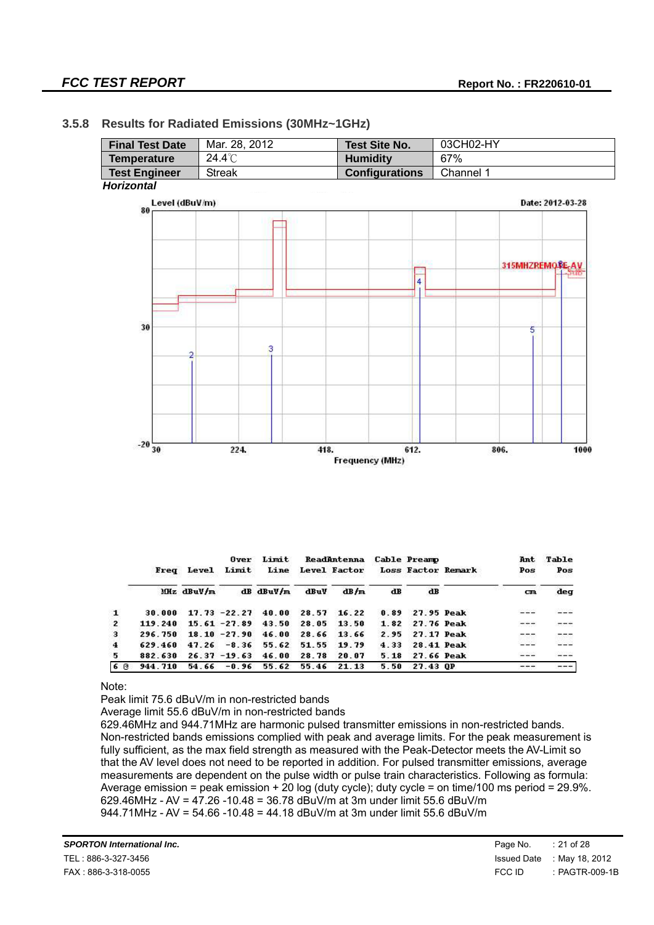#### **3.5.8 Results for Radiated Emissions (30MHz~1GHz)**

| <b>Final Test Date</b> | Mar. 28, 2012 | <b>Test Site No.</b>  | 03CH02-HY        |
|------------------------|---------------|-----------------------|------------------|
| <b>Temperature</b>     | 24.4°C        | <b>Humidity</b>       | 67%              |
| <b>Test Engineer</b>   | <b>Streak</b> | <b>Configurations</b> | Channel 1        |
| <b>Horizontal</b>      |               |                       |                  |
| Level (dBuV/m)         |               |                       | Date: 2012-03-28 |
| 80                     |               |                       |                  |
|                        |               |                       |                  |
|                        |               |                       |                  |
|                        |               |                       |                  |
|                        |               |                       | 315MHZREMORE-AV  |
|                        |               | $\overline{4}$        |                  |
|                        |               |                       |                  |
|                        |               |                       |                  |
| 30                     |               |                       |                  |
|                        |               |                       | 5                |
| 2                      | з             |                       |                  |
|                        |               |                       |                  |
|                        |               |                       |                  |
|                        |               |                       |                  |
|                        |               |                       |                  |
|                        |               |                       |                  |
|                        |               |                       |                  |
| $-20\frac{1}{30}$      | 224.          | 612.<br>418.          | 806.<br>1000     |
|                        |               | Frequency (MHz)       |                  |

|              |         |            | Over            | Limit     |       | ReadAntenna                     |      | <b>Cable Preamp</b> | Ant     | Table |
|--------------|---------|------------|-----------------|-----------|-------|---------------------------------|------|---------------------|---------|-------|
|              |         | Freq Level | Limit           | Line      |       | Level Factor Loss Factor Remark |      |                     | Pos     | Pos   |
|              |         | Miz dBuV/m |                 | dB dBuV/m | dBuV  | dB/m                            | dB   | dB                  | cm      | deq   |
| $\mathbf{1}$ | 30.000  |            | $17.73 - 22.27$ | 40.00     | 28.57 | 16.22                           | 0.89 | 27.95 Peak          | $- - -$ |       |
| $\mathbf{2}$ | 119 240 |            | $15.61 - 27.89$ | 43.50     | 28.05 | 13.50                           | 1.82 | 27.76 Peak          |         |       |
| 3            | 296.750 |            | $18.10 - 27.90$ | 46.00     | 28.66 | 13.66                           | 2.95 | 27.17 Peak          |         |       |
| 4            | 629.460 |            | $47.26 - 8.36$  | 55.62     | 51.55 | 19.79                           | 4.33 | <b>28.41 Peak</b>   |         |       |
| 5.           | 882.630 |            | $26.37 - 19.63$ | 46.00     | 28.78 | 20.07                           | 5.18 | <b>27.66 Peak</b>   | ----    |       |
| 60           | 944.710 | 54.66      | $-0.96$         | 55.62     | 55.46 | 21.13                           | 5.50 | 27.43 OP            |         |       |

#### Note:

Peak limit 75.6 dBuV/m in non-restricted bands

Average limit 55.6 dBuV/m in non-restricted bands

629.46MHz and 944.71MHz are harmonic pulsed transmitter emissions in non-restricted bands. Non-restricted bands emissions complied with peak and average limits. For the peak measurement is fully sufficient, as the max field strength as measured with the Peak-Detector meets the AV-Limit so that the AV level does not need to be reported in addition. For pulsed transmitter emissions, average measurements are dependent on the pulse width or pulse train characteristics. Following as formula: Average emission = peak emission + 20 log (duty cycle); duty cycle = on time/100 ms period = 29.9%. 629.46MHz - AV = 47.26 -10.48 = 36.78 dBuV/m at 3m under limit 55.6 dBuV/m 944.71MHz - AV = 54.66 -10.48 = 44.18 dBuV/m at 3m under limit 55.6 dBuV/m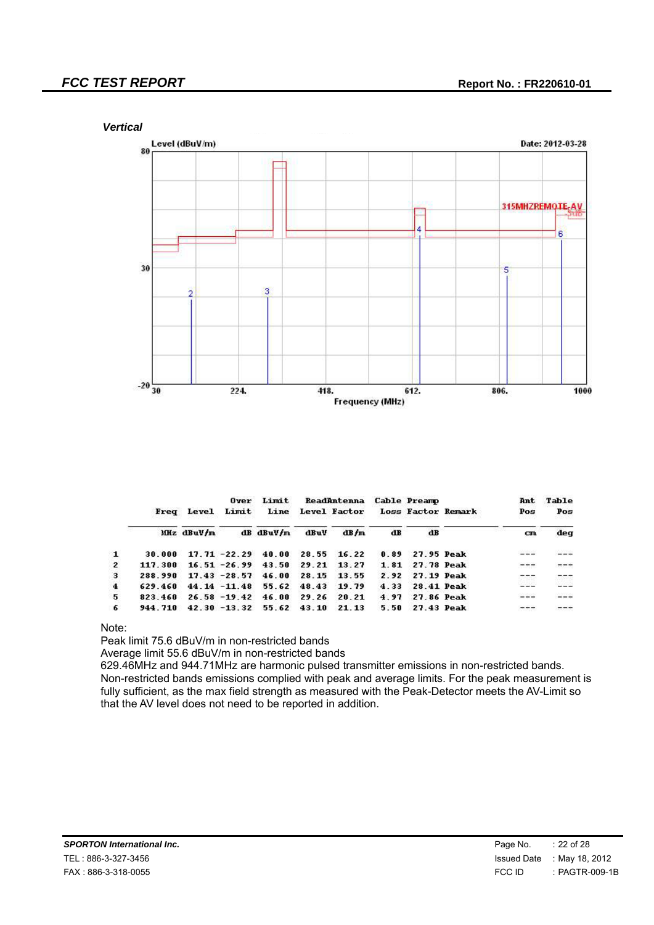*Vertical*



|                         | Freq    | <b>Level</b> | Over<br>Limit   | Limit<br>Line |       | ReadAntenna<br>Level Factor Loss Factor Remark |      | <b>Cable Preamp</b> | Ant<br>Pos<br>yayaan a | Table<br>Pos |
|-------------------------|---------|--------------|-----------------|---------------|-------|------------------------------------------------|------|---------------------|------------------------|--------------|
|                         |         | Miz dBuV/m   |                 | dB dBuV/m     | dBuV  | dB/m                                           | dB   | dB                  | cm                     | deq          |
| $\mathbf{1}$            | 30.000  |              | $17.71 - 22.29$ | 40.00         | 28.55 | 16.22                                          | 0.89 | 27.95 Peak          | $- - -$                |              |
| $\overline{2}$          | 117.300 |              | $16.51 - 26.99$ | 43.50         | 29.21 | 13.27                                          | 1.81 | <b>27.78 Peak</b>   | $- - -$<br>202333      |              |
| 3                       | 288.990 |              | $17.43 - 28.57$ | 46.00         | 28.15 | 13.55                                          | 2.92 | 27.19 Peak          |                        |              |
| $\overline{\mathbf{4}}$ | 629.460 |              | $44.14 - 11.48$ | 55.62         | 48.43 | 19.79                                          | 4.33 | <b>28.41 Peak</b>   |                        |              |
| 5                       | 823.460 |              | $26.58 - 19.42$ | 46.00         | 29.26 | 20.21                                          | 4.97 | 27.86 Peak          | $- - -$                | $---$        |
| 6                       | 944.710 |              | $42.30 - 13.32$ | 55.62         | 43.10 | 21.13                                          | 5.50 | 27.43 Peak          | $- - -$                |              |

Note:

Peak limit 75.6 dBuV/m in non-restricted bands

Average limit 55.6 dBuV/m in non-restricted bands

629.46MHz and 944.71MHz are harmonic pulsed transmitter emissions in non-restricted bands. Non-restricted bands emissions complied with peak and average limits. For the peak measurement is fully sufficient, as the max field strength as measured with the Peak-Detector meets the AV-Limit so that the AV level does not need to be reported in addition.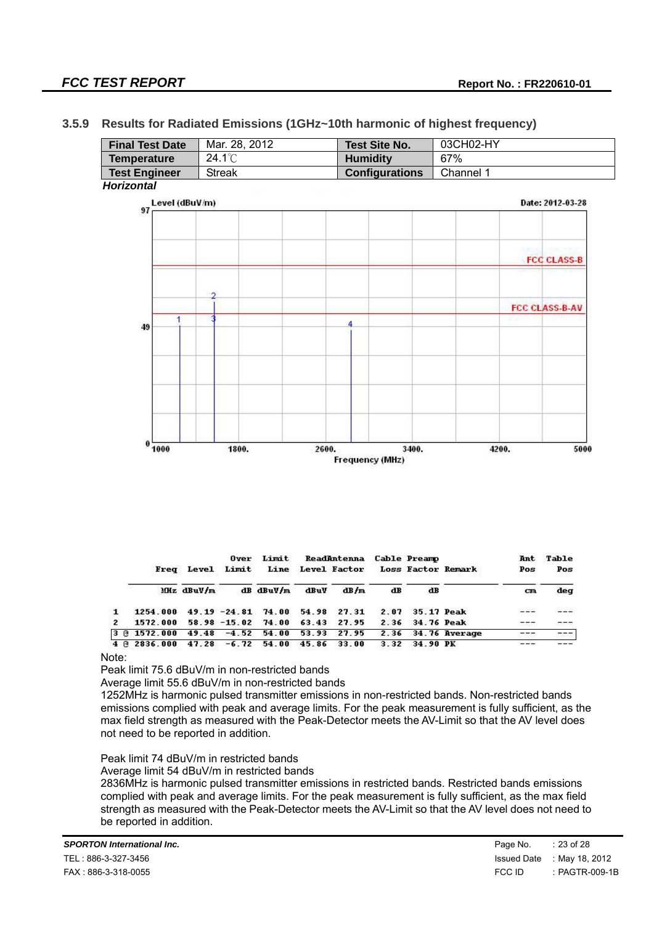*Horizontal*

#### **3.5.9 Results for Radiated Emissions (1GHz~10th harmonic of highest frequency)**

| <b>Final Test Date</b> | Mar. 28, 2012  |                        | <b>Test Site No.</b>   | 03CH02-HY |       |                       |  |  |
|------------------------|----------------|------------------------|------------------------|-----------|-------|-----------------------|--|--|
| <b>Temperature</b>     | 24.1°C         | <b>Humidity</b><br>67% |                        |           |       |                       |  |  |
| <b>Test Engineer</b>   | <b>Streak</b>  |                        | <b>Configurations</b>  | Channel 1 |       |                       |  |  |
| Iorizontal             |                |                        |                        |           |       |                       |  |  |
|                        | Level (dBuV/m) |                        |                        |           |       |                       |  |  |
| 97                     |                |                        |                        |           |       |                       |  |  |
|                        |                |                        |                        |           |       |                       |  |  |
|                        |                |                        |                        |           |       |                       |  |  |
|                        |                |                        |                        |           |       | <b>FCC CLASS-B</b>    |  |  |
|                        |                |                        |                        |           |       |                       |  |  |
|                        | n,             |                        |                        |           |       |                       |  |  |
|                        |                |                        |                        |           |       | <b>FCC CLASS-B-AV</b> |  |  |
| 1                      |                | 4                      |                        |           |       |                       |  |  |
| 49                     |                |                        |                        |           |       |                       |  |  |
|                        |                |                        |                        |           |       |                       |  |  |
|                        |                |                        |                        |           |       |                       |  |  |
|                        |                |                        |                        |           |       |                       |  |  |
|                        |                |                        |                        |           |       |                       |  |  |
|                        |                |                        |                        |           |       |                       |  |  |
|                        |                |                        |                        |           |       |                       |  |  |
|                        |                |                        |                        |           |       |                       |  |  |
| 0<br>1000              | 1800.          | 2600.                  | 3400.                  |           | 4200. | 5000                  |  |  |
|                        |                |                        | <b>Frequency (MHz)</b> |           |       |                       |  |  |

|                |                     |            | Over        | Limit                   |       | ReadAntenna Cable Preamp |      |                   |                                      | Ant               | Table   |
|----------------|---------------------|------------|-------------|-------------------------|-------|--------------------------|------|-------------------|--------------------------------------|-------------------|---------|
|                | Freq                |            | Level Limit |                         |       |                          |      |                   | Line Level Factor Loss Factor Remark | Pos<br>n sa sa sa | Pos     |
|                |                     | Miz dBuV/m |             | $dB$ dBuV/m             | dBuV  | dB/m                     | dB   | dB                |                                      | $_{\rm cm}$       | deg     |
| $\mathbf{1}$   | 1254.000            |            |             | $49.19 - 24.81$ $74.00$ | 54.98 | 27.31                    | 2.07 | <b>35.17 Peak</b> |                                      | $---$             |         |
| $\overline{2}$ | 1572.000            |            |             | $58.98 - 15.02$ 74.00   | 63.43 | 27.95                    |      | 2.36 34.76 Peak   |                                      | $- - -$           | $- - -$ |
|                | 3 @ 1572.000        | 49.48      | $-4.52$     | 54.00                   | 53.93 | 27.95                    |      |                   | 2.36 34.76 Average                   |                   | ---     |
|                | $4 \times 2836.000$ | 47.28      | $-6.72$     | 54.00                   | 45.86 | 33.00                    | 3.32 | 34.90 PK          |                                      | 55 W 26           |         |

Note:

Peak limit 75.6 dBuV/m in non-restricted bands

Average limit 55.6 dBuV/m in non-restricted bands

1252MHz is harmonic pulsed transmitter emissions in non-restricted bands. Non-restricted bands emissions complied with peak and average limits. For the peak measurement is fully sufficient, as the max field strength as measured with the Peak-Detector meets the AV-Limit so that the AV level does not need to be reported in addition.

Peak limit 74 dBuV/m in restricted bands

Average limit 54 dBuV/m in restricted bands

2836MHz is harmonic pulsed transmitter emissions in restricted bands. Restricted bands emissions complied with peak and average limits. For the peak measurement is fully sufficient, as the max field strength as measured with the Peak-Detector meets the AV-Limit so that the AV level does not need to be reported in addition.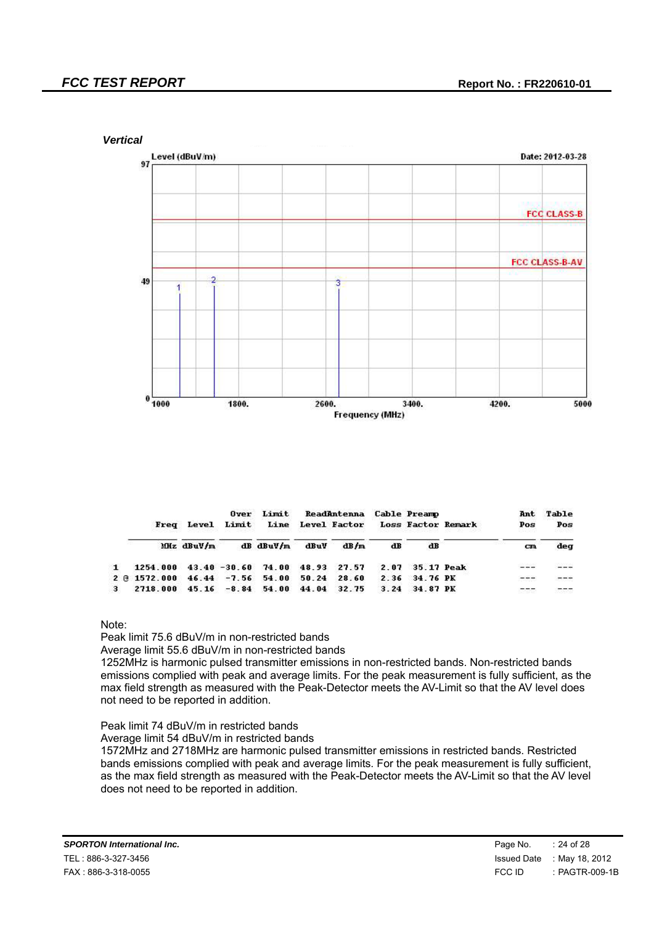

|              |              | Freq Level |                | Limit<br>Over<br>Limit                | <b>ReadAntenna Cable Preamp</b><br>Line Level Factor Loss Factor Remark |       |      | Ant<br>Pos<br>na ana an c | Table<br>Pos    |       |
|--------------|--------------|------------|----------------|---------------------------------------|-------------------------------------------------------------------------|-------|------|---------------------------|-----------------|-------|
|              |              | MHz dBuV/m |                | $dB$ $d$ BuV/m                        | dBuV                                                                    | dB/m  | dB   | dB                        | cm              | dea   |
| $\mathbf{1}$ | 1254.000     |            |                | $43.40 - 30.60$ $74.00$ $48.93$ 27.57 |                                                                         |       | 2.07 | 35.17 Peak                | 60-600          |       |
|              | 2 3 1572.000 |            | $46.44 - 7.56$ | 54.00                                 | 50.24                                                                   | 28.60 | 2.36 | 34.76 PK                  |                 | $---$ |
| 3            | 2718.000     |            | $45.16 - 8.84$ | 54.00                                 | 44.04                                                                   | 32.75 |      | $3.24$ $34.87$ PK         | <b>APPARENT</b> |       |

Note:

Peak limit 75.6 dBuV/m in non-restricted bands

Average limit 55.6 dBuV/m in non-restricted bands

1252MHz is harmonic pulsed transmitter emissions in non-restricted bands. Non-restricted bands emissions complied with peak and average limits. For the peak measurement is fully sufficient, as the max field strength as measured with the Peak-Detector meets the AV-Limit so that the AV level does not need to be reported in addition.

Peak limit 74 dBuV/m in restricted bands

Average limit 54 dBuV/m in restricted bands

1572MHz and 2718MHz are harmonic pulsed transmitter emissions in restricted bands. Restricted bands emissions complied with peak and average limits. For the peak measurement is fully sufficient, as the max field strength as measured with the Peak-Detector meets the AV-Limit so that the AV level does not need to be reported in addition.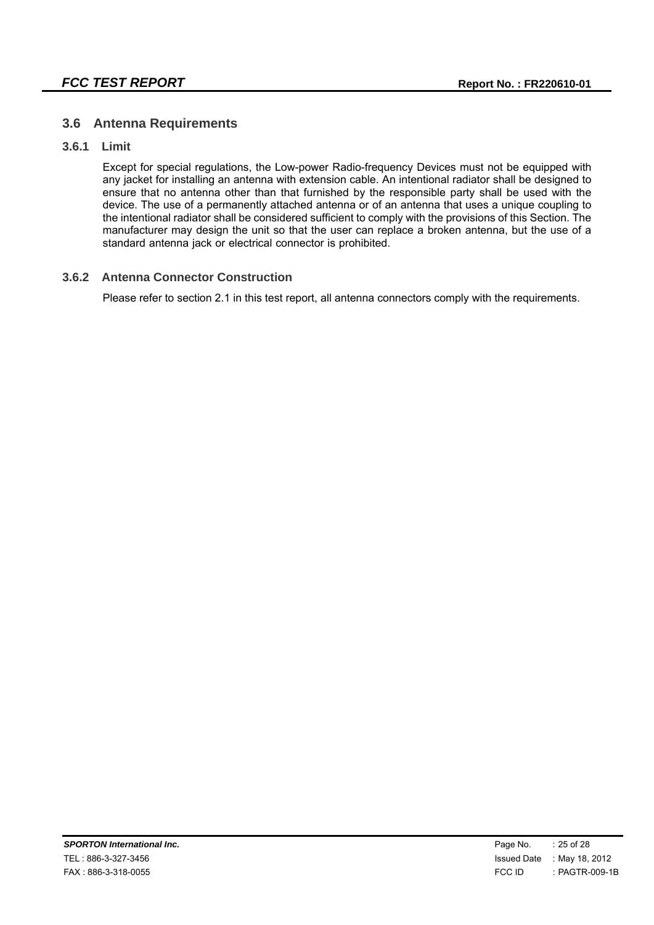#### **3.6 Antenna Requirements**

#### **3.6.1 Limit**

Except for special regulations, the Low-power Radio-frequency Devices must not be equipped with any jacket for installing an antenna with extension cable. An intentional radiator shall be designed to ensure that no antenna other than that furnished by the responsible party shall be used with the device. The use of a permanently attached antenna or of an antenna that uses a unique coupling to the intentional radiator shall be considered sufficient to comply with the provisions of this Section. The manufacturer may design the unit so that the user can replace a broken antenna, but the use of a standard antenna jack or electrical connector is prohibited.

#### **3.6.2 Antenna Connector Construction**

Please refer to section 2.1 in this test report, all antenna connectors comply with the requirements.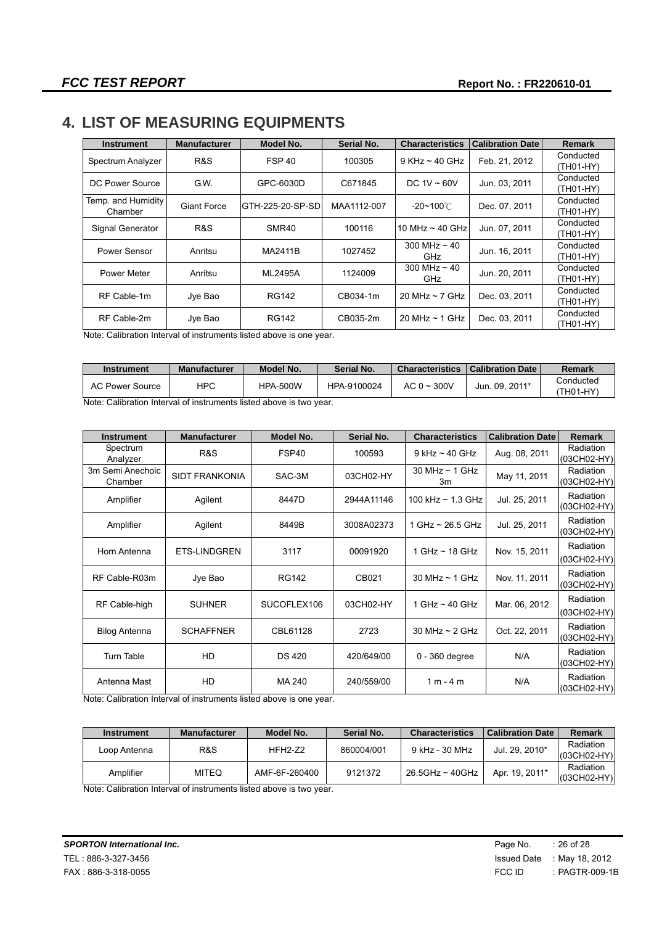## **4. LIST OF MEASURING EQUIPMENTS**

| <b>Instrument</b>  | <b>Manufacturer</b> | Model No.         | Serial No.  | <b>Characteristics</b>   | <b>Calibration Date</b> | <b>Remark</b> |
|--------------------|---------------------|-------------------|-------------|--------------------------|-------------------------|---------------|
| Spectrum Analyzer  | R&S                 | <b>FSP 40</b>     | 100305      | $9$ KHz ~ 40 GHz         | Feb. 21, 2012           | Conducted     |
|                    |                     |                   |             |                          |                         | (TH01-HY)     |
| DC Power Source    | G.W.                | GPC-6030D         | C671845     | DC $1V \sim 60V$         | Jun. 03, 2011           | Conducted     |
|                    |                     |                   |             |                          |                         | (TH01-HY)     |
| Temp. and Humidity | <b>Giant Force</b>  | GTH-225-20-SP-SD  | MAA1112-007 | $-20$ ~100 $^{\circ}$ C  | Dec. 07, 2011           | Conducted     |
| Chamber            |                     |                   |             |                          |                         | (TH01-HY)     |
|                    |                     | SMR <sub>40</sub> | 100116      |                          |                         | Conducted     |
| Signal Generator   | R&S                 |                   |             | 10 MHz $\sim$ 40 GHz     | Jun. 07, 2011           | (TH01-HY)     |
| Power Sensor       | Anritsu             | MA2411B           | 1027452     | 300 MHz $\sim$ 40<br>GHz | Jun. 16, 2011           | Conducted     |
|                    |                     |                   |             |                          |                         | (TH01-HY)     |
|                    |                     |                   | 1124009     | 300 MHz $\sim$ 40<br>GHz | Jun. 20, 2011           | Conducted     |
| Power Meter        | Anritsu             | ML2495A           |             |                          |                         | (TH01-HY)     |
| RF Cable-1m        |                     | RG142             | CB034-1m    |                          | Dec. 03, 2011           | Conducted     |
|                    | Jye Bao             |                   |             | 20 MHz $\sim$ 7 GHz      |                         | (TH01-HY)     |
| RF Cable-2m        |                     |                   | CB035-2m    |                          |                         | Conducted     |
|                    | Jye Bao             | <b>RG142</b>      |             | 20 MHz $\sim$ 1 GHz      | Dec. 03, 2011           | (TH01-HY)     |

Note: Calibration Interval of instruments listed above is one year.

| Instrument      | <b>Manufacturer</b> | Model No.       | Serial No.  | <b>Characteristics</b> | <b>Calibration Date</b> | Remark               |
|-----------------|---------------------|-----------------|-------------|------------------------|-------------------------|----------------------|
| AC Power Source | <b>HPC</b>          | <b>HPA-500W</b> | HPA-9100024 | AC 0 $\sim$ 300V       | Jun. 09. 2011*          | Conducted<br>TH01-HY |

Note: Calibration Interval of instruments listed above is two year.

| <b>Instrument</b>           | <b>Manufacturer</b>   | Model No.     | Serial No. | <b>Characteristics</b>    | <b>Calibration Date</b> | <b>Remark</b>            |
|-----------------------------|-----------------------|---------------|------------|---------------------------|-------------------------|--------------------------|
| Spectrum<br>Analyzer        | R&S                   | FSP40         | 100593     | $9$ kHz $\sim$ 40 GHz     | Aug. 08, 2011           | Radiation<br>(03CH02-HY) |
| 3m Semi Anechoic<br>Chamber | <b>SIDT FRANKONIA</b> | SAC-3M        | 03CH02-HY  | 30 MHz $\sim$ 1 GHz<br>3m | May 11, 2011            | Radiation<br>(03CH02-HY) |
| Amplifier                   | Agilent               | 8447D         | 2944A11146 | 100 kHz $\sim$ 1.3 GHz    | Jul. 25, 2011           | Radiation<br>(03CH02-HY) |
| Amplifier                   | Agilent               | 8449B         | 3008A02373 | 1 GHz $\sim$ 26.5 GHz     | Jul. 25, 2011           | Radiation<br>(03CH02-HY) |
| Horn Antenna                | <b>ETS-LINDGREN</b>   | 3117          | 00091920   | 1 GHz $\sim$ 18 GHz       | Nov. 15, 2011           | Radiation<br>(03CH02-HY) |
| RF Cable-R03m               | Jye Bao               | <b>RG142</b>  | CB021      | 30 MHz $\sim$ 1 GHz       | Nov. 11, 2011           | Radiation<br>(03CH02-HY) |
| RF Cable-high               | <b>SUHNER</b>         | SUCOFLEX106   | 03CH02-HY  | 1 GHz $\sim$ 40 GHz       | Mar. 06, 2012           | Radiation<br>(03CH02-HY) |
| <b>Bilog Antenna</b>        | <b>SCHAFFNER</b>      | CBL61128      | 2723       | 30 MHz $\sim$ 2 GHz       | Oct. 22, 2011           | Radiation<br>(03CH02-HY) |
| <b>Turn Table</b>           | HD                    | <b>DS 420</b> | 420/649/00 | $0 - 360$ degree          | N/A                     | Radiation<br>(03CH02-HY) |
| Antenna Mast                | HD                    | MA 240        | 240/559/00 | $1 m - 4 m$               | N/A                     | Radiation<br>(03CH02-HY) |

Note: Calibration Interval of instruments listed above is one year.

| Instrument   | <b>Manufacturer</b> | Model No.     | <b>Serial No.</b> | <b>Characteristics</b> | <b>Calibration Date</b> | Remark                     |
|--------------|---------------------|---------------|-------------------|------------------------|-------------------------|----------------------------|
| Loop Antenna | R&S                 | $HFH2-Z2$     | 860004/001        | 9 kHz - 30 MHz         | Jul. 29. 2010*          | Radiation<br>(03CH02-HY)   |
| Amplifier    | <b>MITEQ</b>        | AMF-6F-260400 | 9121372           | 26.5GHz ~ 40GHz        | Apr. 19, 2011*          | Radiation<br>$(03CH02-HY)$ |

Note: Calibration Interval of instruments listed above is two year.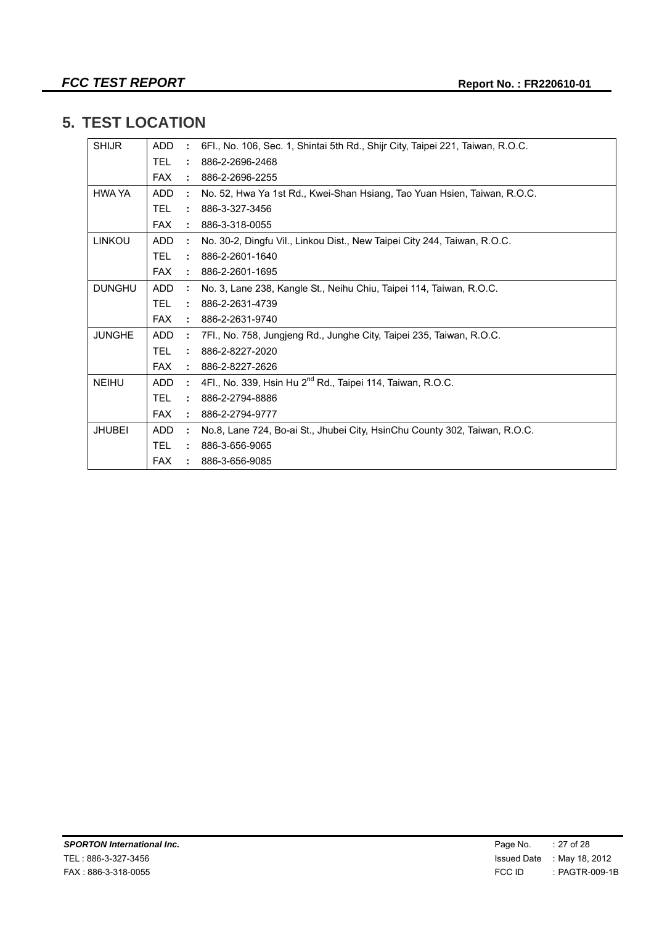## **5. TEST LOCATION**

| <b>SHIJR</b>  | <b>ADD</b> | ÷                    | 6Fl., No. 106, Sec. 1, Shintai 5th Rd., Shijr City, Taipei 221, Taiwan, R.O.C. |
|---------------|------------|----------------------|--------------------------------------------------------------------------------|
|               | <b>TEL</b> | ÷                    | 886-2-2696-2468                                                                |
|               | <b>FAX</b> | ÷                    | 886-2-2696-2255                                                                |
| HWA YA        | ADD.       | ÷                    | No. 52, Hwa Ya 1st Rd., Kwei-Shan Hsiang, Tao Yuan Hsien, Taiwan, R.O.C.       |
|               | TEL.       | ÷                    | 886-3-327-3456                                                                 |
|               | <b>FAX</b> | $\mathbf{L}$         | 886-3-318-0055                                                                 |
| <b>LINKOU</b> | ADD.       | ÷                    | No. 30-2, Dingfu Vil., Linkou Dist., New Taipei City 244, Taiwan, R.O.C.       |
|               | <b>TEL</b> | $\tilde{\mathbf{r}}$ | 886-2-2601-1640                                                                |
|               | <b>FAX</b> | ÷                    | 886-2-2601-1695                                                                |
| <b>DUNGHU</b> | <b>ADD</b> | ÷                    | No. 3, Lane 238, Kangle St., Neihu Chiu, Taipei 114, Taiwan, R.O.C.            |
|               | TEL.       | ÷                    | 886-2-2631-4739                                                                |
|               | <b>FAX</b> | ÷.                   | 886-2-2631-9740                                                                |
| <b>JUNGHE</b> | <b>ADD</b> | ÷                    | 7Fl., No. 758, Jungjeng Rd., Junghe City, Taipei 235, Taiwan, R.O.C.           |
|               | TEL.       |                      | $: 886 - 2 - 8227 - 2020$                                                      |
|               | <b>FAX</b> |                      | $: 886 - 2 - 8227 - 2626$                                                      |
| <b>NEIHU</b>  | ADD.       | ÷                    | 4Fl., No. 339, Hsin Hu 2 <sup>nd</sup> Rd., Taipei 114, Taiwan, R.O.C.         |
|               | TEL.       | ÷                    | 886-2-2794-8886                                                                |
|               | <b>FAX</b> |                      | $: 886 - 2 - 2794 - 9777$                                                      |
| <b>JHUBEI</b> | <b>ADD</b> | ÷                    | No.8, Lane 724, Bo-ai St., Jhubei City, HsinChu County 302, Taiwan, R.O.C.     |
|               | TEL.       |                      | 886-3-656-9065                                                                 |
|               | <b>FAX</b> |                      | 886-3-656-9085                                                                 |